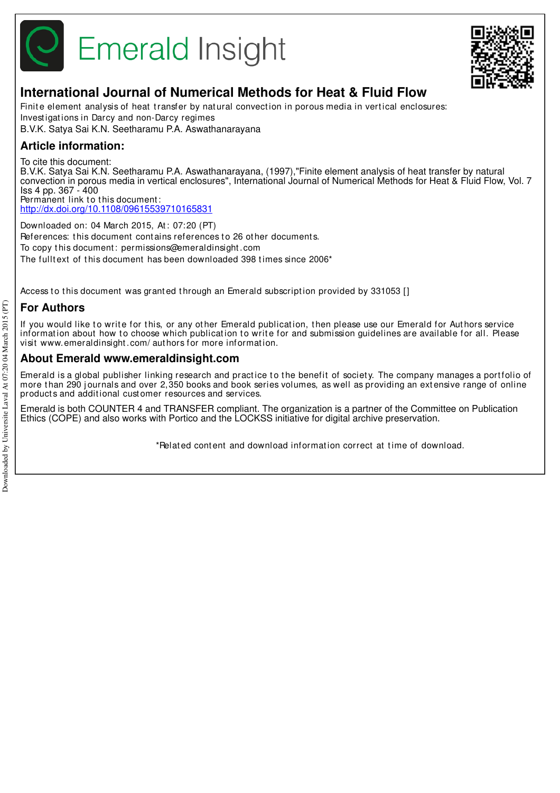



## **International Journal of Numerical Methods for Heat & Fluid Flow**

Finite element analysis of heat transfer by natural convection in porous media in vertical enclosures: Invest igat ions in Darcy and non-Darcy regimes B.V.K. Satya Sai K.N. Seetharamu P.A. Aswathanarayana

## **Article information:**

To cite this document:

B.V.K. Satya Sai K.N. Seetharamu P.A. Aswathanarayana, (1997),"Finite element analysis of heat transfer by natural convection in porous media in vertical enclosures", International Journal of Numerical Methods for Heat & Fluid Flow, Vol. 7 Iss 4 pp. 367 - 400 Permanent link to this document:

http://dx.doi.org/10.1108/09615539710165831

Downloaded on: 04 March 2015, At : 07:20 (PT) References: this document contains references to 26 other documents. To copy t his document : permissions@emeraldinsight .com The fulltext of this document has been downloaded 398 times since 2006<sup>\*</sup>

Access to this document was granted through an Emerald subscription provided by 331053 []

## **For Authors**

If you would like to write for this, or any other Emerald publication, then please use our Emerald for Authors service information about how to choose which publication to write for and submission guidelines are available for all. Please visit www.emeraldinsight .com/ aut hors for more informat ion.

### **About Emerald www.emeraldinsight.com**

Emerald is a global publisher linking research and practice to the benefit of society. The company manages a portfolio of more than 290 journals and over 2,350 books and book series volumes, as well as providing an extensive range of online product s and addit ional cust omer resources and services.

Emerald is both COUNTER 4 and TRANSFER compliant. The organization is a partner of the Committee on Publication Ethics (COPE) and also works with Portico and the LOCKSS initiative for digital archive preservation.

\*Relat ed cont ent and download informat ion correct at t ime of download.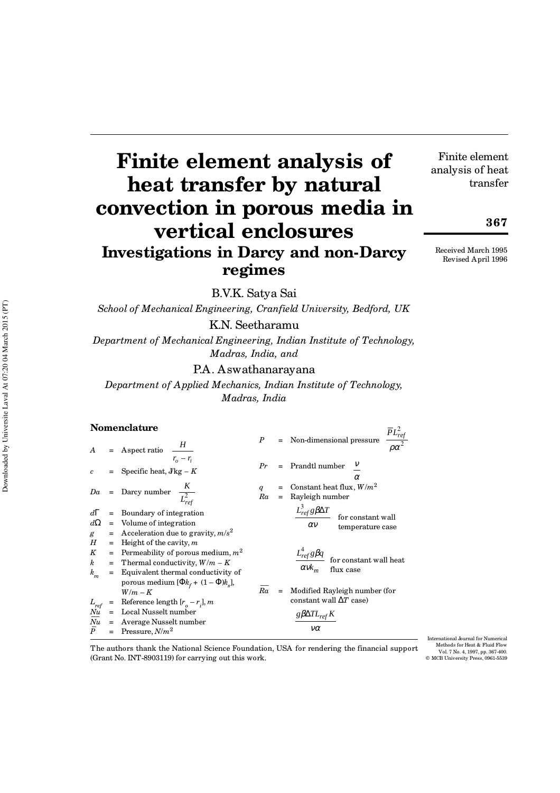# **Finite element analysis of heat transfer by natural convection in porous media in vertical enclosures Investigations in Darcy and non-Darcy regimes**

B.V.K. Satya Sai

#### **Nomenclature**

|                                                            |                                                                                                                                                                                                                                                                                                                                                 | School of Mechanical Engineering, Cranfield University, Bedford, UK                                                                                     |  |  |  |  |  |  |  |
|------------------------------------------------------------|-------------------------------------------------------------------------------------------------------------------------------------------------------------------------------------------------------------------------------------------------------------------------------------------------------------------------------------------------|---------------------------------------------------------------------------------------------------------------------------------------------------------|--|--|--|--|--|--|--|
|                                                            | K.N. Seetharamu                                                                                                                                                                                                                                                                                                                                 |                                                                                                                                                         |  |  |  |  |  |  |  |
| Downloaded by Universite Laval At 07:20 04 March 2015 (PT) | Department of Mechanical Engineering, Indian Institute of Technology<br>Madras, India, and                                                                                                                                                                                                                                                      |                                                                                                                                                         |  |  |  |  |  |  |  |
|                                                            |                                                                                                                                                                                                                                                                                                                                                 | P.A. Aswathanarayana                                                                                                                                    |  |  |  |  |  |  |  |
|                                                            |                                                                                                                                                                                                                                                                                                                                                 | Department of Applied Mechanics, Indian Institute of Technology,                                                                                        |  |  |  |  |  |  |  |
|                                                            |                                                                                                                                                                                                                                                                                                                                                 | Madras, India                                                                                                                                           |  |  |  |  |  |  |  |
|                                                            | Nomenclature                                                                                                                                                                                                                                                                                                                                    |                                                                                                                                                         |  |  |  |  |  |  |  |
|                                                            | A = Aspect ratio $\begin{bmatrix} H \\ \frac{F_o - r_i}{r_o - r_i} \end{bmatrix}$                                                                                                                                                                                                                                                               | $P$ = Non-dimensional pressure $\left\lceil \frac{\overline{P}L_{ref}^2}{\rho \alpha^2} \right\rceil$                                                   |  |  |  |  |  |  |  |
|                                                            | = Specific heat, $J \text{kg} - K$                                                                                                                                                                                                                                                                                                              | $Pr$ = Prandtl number $\begin{bmatrix} V \\ \alpha \end{bmatrix}$                                                                                       |  |  |  |  |  |  |  |
|                                                            | $Da = \text{Darcy number } \left[ \frac{K}{L_{ref}^2} \right]$                                                                                                                                                                                                                                                                                  | = Constant heat flux, $W/m^2$<br>Ra<br>$=$ Rayleigh number                                                                                              |  |  |  |  |  |  |  |
|                                                            | $d\Gamma$<br>= Boundary of integration<br>$d\Omega$<br>$=$ Volume of integration<br>= Acceleration due to gravity, $m/s^2$<br>g                                                                                                                                                                                                                 | $\left[\frac{L_{\it ref}^3g\beta\Delta T}{\alpha\nu}\right] \text{for constant wall} \label{eq:2.1}$                                                    |  |  |  |  |  |  |  |
|                                                            | $H_{\rm}$<br>$=$ Height of the cavity, m<br>K<br>= Permeability of porous medium, $m^2$<br>$\boldsymbol{k}$<br>= Thermal conductivity, $W/m - K$<br>$\boldsymbol{k}_m$<br>= Equivalent thermal conductivity of                                                                                                                                  | $\begin{array}{ l }\n\hline\nL_{\text{ref}}^4g\beta q \\ \hline\n\alpha v k_m\n\end{array}\n\Big  \text{for constant wall heat}$                        |  |  |  |  |  |  |  |
|                                                            | porous medium $[\Phi k_f + (1 - \Phi) k_s]$ ,<br>$W/m - K$<br>= Reference length $[r_o - r_i]$ , m<br>$\begin{array}{rcl} L_{ref} & = & \mbox{Reference length}\, [r_{o} - r_{i}], \\ N u & = & \mbox{Local Nusselt number} \\ \overline{Nu} & = & \mbox{Average Nusselt number} \\ \overline{P} & = & \mbox{Pressure}, N/m^{2} \\ \end{array}$ | $\overline{Ra}$<br>Modified Rayleigh number (for<br>$=$<br>constant wall $\Delta T$ case)<br>$\left\lceil \frac{g\beta\Delta TL_{ref}K}{m}\right\rceil$ |  |  |  |  |  |  |  |
|                                                            | = Pressure, $N/m^2$                                                                                                                                                                                                                                                                                                                             |                                                                                                                                                         |  |  |  |  |  |  |  |

The authors thank the National Science Foundation, USA for rendering the financial support (Grant No. INT-8903119) for carrying out this work.

International Journal for Numerical Methods for Heat & Fluid Flow Vol. 7 No. 4, 1997, pp. 367-400. © MCB University Press, 0961-5539

Received March 1995

Finite element analysis of heat

transfer

**367**

Revised April 1996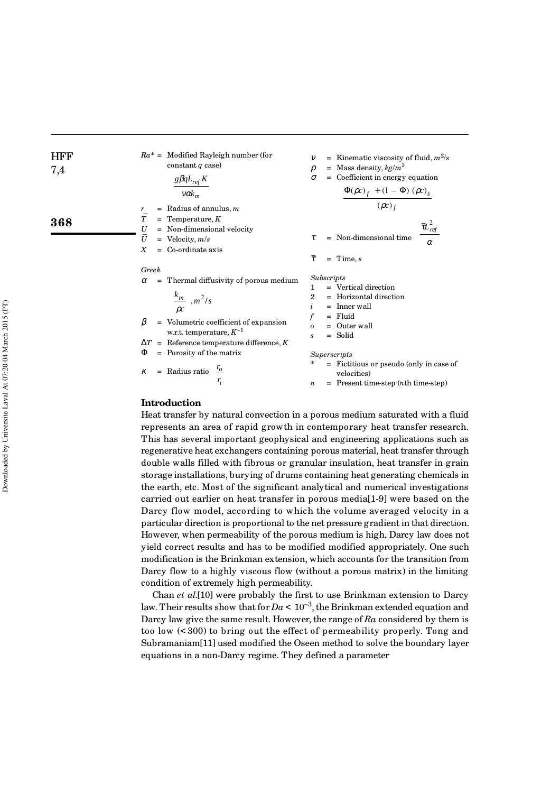| HFF                                                                                                                                                                                                                                                                                                                                                                                                                                                                                                                                                                                          | $Ra^* =$ Modified Rayleigh number (for<br>constant <i>q</i> case)                                                         | $v$ = Kinematic viscosity of fluid, $m^2/s$<br>constant <i>q</i> case) | $\rho$ = Mass density, $kg/m^3$<br>$\rho$ = Coefficient in energy equation          |                                                                   |                     |
|----------------------------------------------------------------------------------------------------------------------------------------------------------------------------------------------------------------------------------------------------------------------------------------------------------------------------------------------------------------------------------------------------------------------------------------------------------------------------------------------------------------------------------------------------------------------------------------------|---------------------------------------------------------------------------------------------------------------------------|------------------------------------------------------------------------|-------------------------------------------------------------------------------------|-------------------------------------------------------------------|---------------------|
| \n $\frac{\beta \beta q L_{ref} K}{v \alpha k_m}$ \n                                                                                                                                                                                                                                                                                                                                                                                                                                                                                                                                         | \n $\sigma$ = Coefficient in energy equation\n $\left[\frac{\phi(\rho c)_f + (1 - \Phi)(\rho c)_s}{(\rho c)_f}\right]$ \n |                                                                        |                                                                                     |                                                                   |                     |
| \n $\frac{1}{T}$ = The<br>V = Non-dimensional velocity<br>$\overline{U}$ = Vol- $\overline{U}$ , $m/s$<br>$\overline{V}$ = Co-ordinate axis\n $\overline{\tau}$ = Time, <i>s</i> \n                                                                                                                                                                                                                                                                                                                                                                                                          |                                                                                                                           |                                                                        |                                                                                     |                                                                   |                     |
| \n $\frac{Greek}{\rho c}$ \n                                                                                                                                                                                                                                                                                                                                                                                                                                                                                                                                                                 | \n $\frac{k_m}{\rho c}$ \n                                                                                                | \n $\frac{1}{r^2/s}$ \n                                                | \n $\frac{1}{r}$ = Vertical direction\n $\left[\frac{k_m}{\rho c}\right], m^2/s$ \n | \n $\frac{2}{r}$ = Horizontal direction\n $\frac{k_m}{\rho c}$ \n | \n $\frac{1}{r}$ \n |
| \n $\beta$ = Volumetric coefficient of expansion<br>$\alpha$ = 1. Find the<br>invariant, $\gamma$ = 1. Find the<br>of a given point, $\gamma$ = 1. Find the<br>of a given point, $\gamma$ = 1. Find the<br>of a given point, $\gamma$ = 1. Find the<br>of a given point, $\gamma$ = 1. Find the<br>of a given point, $\gamma$ = 1. Find the<br>of a given point, $\gamma$ = 1. Find the<br>of a given point, $\gamma$ = 1. Find the<br>of a given point, $\gamma$ = 1. Find the<br>of a given point, $\gamma$ = 1. Find the<br>of a given point, $\gamma$ = 1. Find the<br>of a given point, |                                                                                                                           |                                                                        |                                                                                     |                                                                   |                     |

#### **Introduction**

Heat transfer by natural convection in a porous medium saturated with a fluid represents an area of rapid growth in contemporary heat transfer research. This has several important geophysical and engineering applications such as regenerative heat exchangers containing porous material, heat transfer through double walls filled with fibrous or granular insulation, heat transfer in grain storage installations, burying of drums containing heat generating chemicals in the earth, etc. Most of the significant analytical and numerical investigations carried out earlier on heat transfer in porous media[1-9] were based on the Darcy flow model, according to which the volume averaged velocity in a particular direction is proportional to the net pressure gradient in that direction. However, when permeability of the porous medium is high, Darcy law does not yield correct results and has to be modified modified appropriately. One such modification is the Brinkman extension, which accounts for the transition from Darcy flow to a highly viscous flow (without a porous matrix) in the limiting condition of extremely high permeability.

Chan *et al*.[10] were probably the first to use Brinkman extension to Darcy law. Their results show that for  $Da < 10^{-3}$ , the Brinkman extended equation and Darcy law give the same result. However, the range of *Ra* considered by them is too low (< 300) to bring out the effect of permeability properly. Tong and Subramaniam[11] used modified the Oseen method to solve the boundary layer equations in a non-Darcy regime. They defined a parameter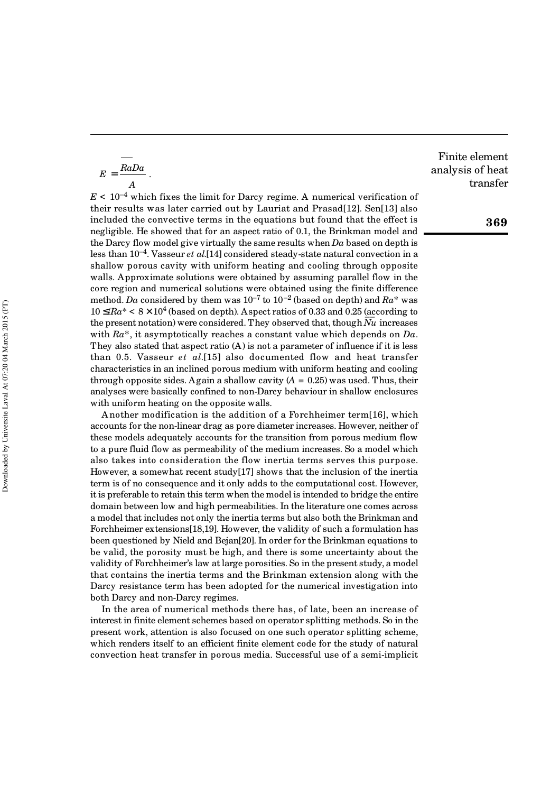$$
E = \frac{RaDa}{A}.
$$

 $E \leq 10^{-4}$  which fixes the limit for Darcy regime. A numerical verification of their results was later carried out by Lauriat and Prasad[12]. Sen[13] also included the convective terms in the equations but found that the effect is negligible. He showed that for an aspect ratio of 0.1, the Brinkman model and the Darcy flow model give virtually the same results when *Da* based on depth is less than 10–4. Vasseur *et al*.[14] considered steady-state natural convection in a shallow porous cavity with uniform heating and cooling through opposite walls. Approximate solutions were obtained by assuming parallel flow in the core region and numerical solutions were obtained using the finite difference method. *Da* considered by them was  $10^{-7}$  to  $10^{-2}$  (based on depth) and  $Ra^*$  was  $10 \leq/Ra^* < 8 \times 10^4$  (based on depth). Aspect ratios of 0.33 and 0.25 (according to the present notation) were considered. They observed that, though *Nu* increases with *Ra*\*, it asymptotically reaches a constant value which depends on *Da*. They also stated that aspect ratio (A) is not a parameter of influence if it is less than 0.5. Vasseur *et al*.[15] also documented flow and heat transfer characteristics in an inclined porous medium with uniform heating and cooling through opposite sides. Again a shallow cavity  $(A = 0.25)$  was used. Thus, their analyses were basically confined to non-Darcy behaviour in shallow enclosures with uniform heating on the opposite walls.

A nother modification is the addition of a Forchheimer term[16], which accounts for the non-linear drag as pore diameter increases. However, neither of these models adequately accounts for the transition from porous medium flow to a pure fluid flow as permeability of the medium increases. So a model which also takes into consideration the flow inertia terms serves this purpose. However, a somewhat recent study[17] shows that the inclusion of the inertia term is of no consequence and it only adds to the computational cost. However, it is preferable to retain this term when the model is intended to bridge the entire domain between low and high permeabilities. In the literature one comes across a model that includes not only the inertia terms but also both the Brinkman and Forchheimer extensions[18,19]. However, the validity of such a formulation has been questioned by Nield and Bejan[20]. In order for the Brinkman equations to be valid, the porosity must be high, and there is some uncertainty about the validity of Forchheimer's law at large porosities. So in the present study, a model that contains the inertia terms and the Brinkman extension along with the Darcy resistance term has been adopted for the numerical investigation into both Darcy and non-Darcy regimes.

In the area of numerical methods there has, of late, been an increase of interest in finite element schemes based on operator splitting methods. So in the present work, attention is also focused on one such operator splitting scheme, which renders itself to an efficient finite element code for the study of natural convection heat transfer in porous media. Successful use of a semi-implicit

Finite element analysis of heat transfer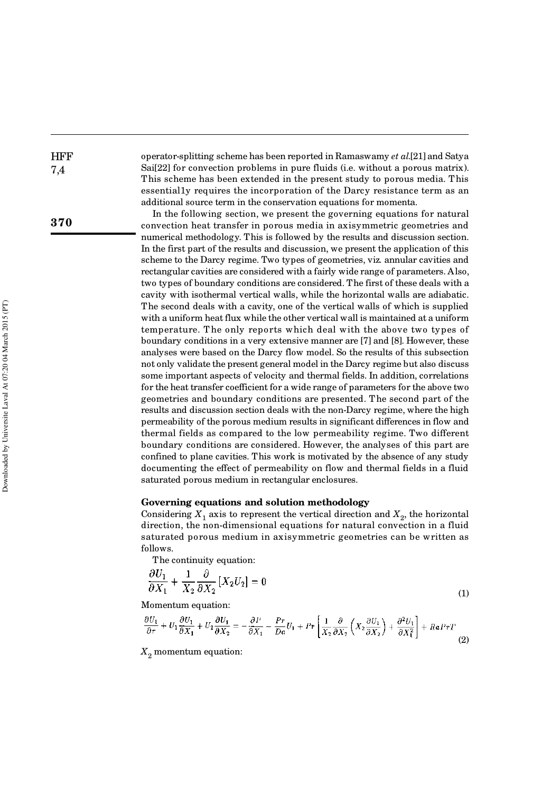operator-splitting scheme has been reported in Ramaswamy *et al*.[21] and Satya Sai[22] for convection problems in pure fluids (i.e. without a porous matrix). This scheme has been extended in the present study to porous media. This essential1y requires the incorporation of the Darcy resistance term as an additional source term in the conservation equations for momenta.

In the following section, we present the governing equations for natural convection heat transfer in porous media in axisymmetric geometries and numerical methodology. This is followed by the results and discussion section. In the first part of the results and discussion, we present the application of this scheme to the Darcy regime. Two types of geometries, viz *.* annular cavities and rectangular cavities are considered with a fairly wide range of parameters. Also, two types of boundary conditions are considered. The first of these deals with a cavity with isothermal vertical walls, while the horizontal walls are adiabatic. The second deals with a cavity, one of the vertical walls of which is supplied with a uniform heat flux while the other vertical wall is maintained at a uniform temperature. T he only reports which deal with the above two types of boundary conditions in a very extensive manner are [7] and [8]. However, these analyses were based on the Darcy flow model. So the results of this subsection not only validate the present general model in the Darcy regime but also discuss some important aspects of velocity and thermal fields. In addition, correlations for the heat transfer coefficient for a wide range of parameters for the above two geometries and boundary conditions are presented. The second part of the results and discussion section deals with the non-Darcy regime, where the high permeability of the porous medium results in significant differences in flow and thermal fields as compared to the low permeability regime. Two different boundary conditions are considered. However, the analyses of this part are confined to plane cavities. This work is motivated by the absence of any study documenting the effect of permeability on flow and thermal fields in a fluid saturated porous medium in rectangular enclosures.

#### **Governing equations and solution methodology**

Considering  $X_1$  axis to represent the vertical direction and  $X_2$ , the horizontal direction, the non-dimensional equations for natural convection in a fluid saturated porous medium in axisymmetric geometries can be written as follows.

The continuity equation:

$$
\frac{\partial U_1}{\partial X_1} + \frac{1}{X_2} \frac{\partial}{\partial X_2} [X_2 U_2] = 0 \tag{1}
$$

Momentum equation:

$$
\frac{\partial U_1}{\partial r} + U_1 \frac{\partial U_1}{\partial X_1} + U_2 \frac{\partial U_1}{\partial X_2} = -\frac{\partial P}{\partial X_1} - \frac{P r}{D a} U_1 + P r \left[ \frac{1}{X_2} \frac{\partial}{\partial X_2} \left( X_2 \frac{\partial U_1}{\partial X_2} \right) + \frac{\partial^2 U_1}{\partial X_1^2} \right] + R a P r T \tag{2}
$$

*X* <sup>2</sup> momentum equation:

**HFF** 7,4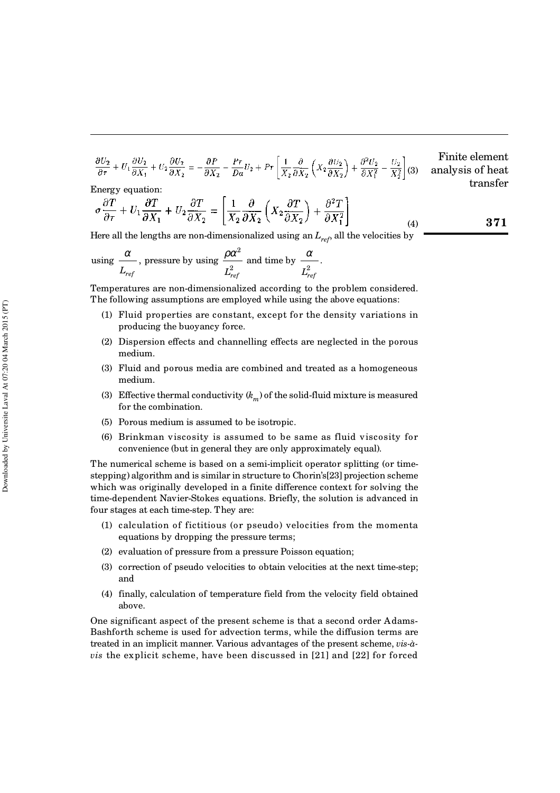$$
\frac{\partial U_2}{\partial \tau} + U_1 \frac{\partial U_2}{\partial X_1} + U_2 \frac{\partial U_2}{\partial X_2} = -\frac{\partial P}{\partial X_2} - \frac{P\tau}{Da} U_2 + P\tau \left[ \frac{1}{X_2} \frac{\partial}{\partial X_2} \left( X_2 \frac{\partial U_2}{\partial X_2} \right) + \frac{\partial^2 U_2}{\partial X_1^2} - \frac{U_2}{X_2^2} \right] (3) \quad \text{analysis of heat transfer}
$$

.

**371**

Energy equation:

$$
\sigma \frac{\partial T}{\partial \tau} + U_1 \frac{\partial T}{\partial X_1} + U_2 \frac{\partial T}{\partial X_2} = \left[ \frac{1}{X_2} \frac{\partial}{\partial X_2} \left( X_2 \frac{\partial T}{\partial X_2} \right) + \frac{\partial^2 T}{\partial X_1^2} \right] \tag{4}
$$

Here all the lengths are non-dimensionalized using an  $L_{ref}$ , all the velocities by

using 
$$
\frac{\alpha}{L_{ref}}
$$
, pressure by using  $\frac{\rho \alpha^2}{L_{ref}^2}$  and time by  $\frac{\alpha}{L_{ref}^2}$ 

Temperatures are non-dimensionalized according to the problem considered. The following assumptions are employed while using the above equations:

- (1) Fluid properties are constant, except for the density variations in producing the buoyancy force.
- (2) Dispersion effects and channelling effects are neglected in the porous medium.
- (3) Fluid and porous media are combined and treated as a homogeneous medium.
- (3) Effective thermal conductivity  $(k_m^-)$  of the solid-fluid mixture is measured for the combination.
- (5) Porous medium is assumed to be isotropic.
- (6) Brinkman viscosity is assumed to be same as fluid viscosity for convenience (but in general they are only approximately equal).

The numerical scheme is based on a semi-implicit operator splitting (or timestepping) algorithm and is similar in structure to Chorin's[23] projection scheme which was originally developed in a finite difference context for solving the time-dependent Navier-Stokes equations. Briefly, the solution is advanced in four stages at each time-step. They are:

- (1) calculation of fictitious (or pseudo) velocities from the momenta equations by dropping the pressure terms;
- (2) evaluation of pressure from a pressure Poisson equation;
- (3) correction of pseudo velocities to obtain velocities at the next time-step; and
- (4) finally, calculation of temperature field from the velocity field obtained above.

One significant aspect of the present scheme is that a second order Adams-Bashforth scheme is used for advection terms, while the diffusion terms are treated in an implicit manner. Various advantages of the present scheme, *vis-àvis* the explicit scheme, have been discussed in [21] and [22] for forced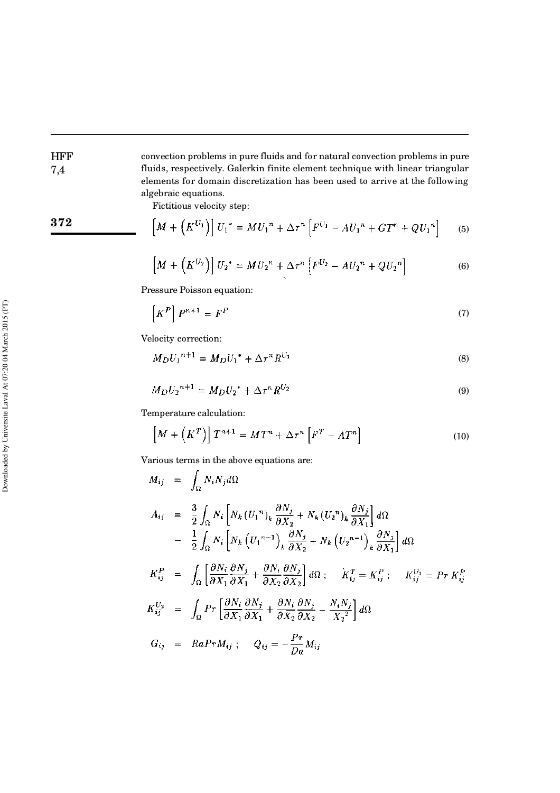convection problems in pure fluids and for natural convection problems in pure fluids, respectively. Galerkin finite element technique with linear triangular elements for domain discretization has been used to arrive at the following algebraic equations.

Fictitious velocity step:

$$
\boxed{372}
$$

**HFF** 7,4

$$
\left[M + \left(K^{U_1}\right)\right]U_1^* = MU_1^n + \Delta \tau^n \left[F^{U_1} - AU_1^n + GT^n + QU_1^n\right] \tag{5}
$$

$$
\left[M + \left(K^{U_2}\right)\right]U_2^* = MU_2^n + \Delta \tau^n \left[F^{U_2} - AU_2^n + QU_2^n\right] \tag{6}
$$

Pressure Poisson equation:

$$
\left[K^P\right]P^{n+1} = F^P \tag{7}
$$

Velocity correction:

$$
M_D U_1^{n+1} = M_D U_1^* + \Delta \tau^n R^{U_1}
$$
\n(8)

$$
M_D U_2^{n+1} = M_D U_2^* + \Delta \tau^n R^{U_2}
$$
\n(9)

Temperature calculation:

$$
\left[M + \left(K^{T}\right)\right]T^{n+1} = MT^{n} + \Delta \tau^{n}\left[F^{T} - AT^{n}\right]
$$
\n(10)

Various terms in the above equations are:

$$
M_{ij} = \int_{\Omega} N_i N_j d\Omega
$$
  
\n
$$
A_{ij} = \frac{3}{2} \int_{\Omega} N_i \left[ N_k (U_1^n)_k \frac{\partial N_j}{\partial X_2} + N_k (U_2^n)_k \frac{\partial N_j}{\partial X_1} \right] d\Omega
$$
  
\n
$$
- \frac{1}{2} \int_{\Omega} N_i \left[ N_k (U_1^{n-1})_k \frac{\partial N_j}{\partial X_2} + N_k (U_2^{n-1})_k \frac{\partial N_j}{\partial X_1} \right] d\Omega
$$
  
\n
$$
K_{ij}^P = \int_{\Omega} \left[ \frac{\partial N_i}{\partial X_1} \frac{\partial N_j}{\partial X_1} + \frac{\partial N_i}{\partial X_2} \frac{\partial N_j}{\partial X_2} \right] d\Omega ; \quad K_{ij}^T = K_{ij}^P ; \quad K_{ij}^{U_1} = Pr K_{ij}^P
$$
  
\n
$$
K_{ij}^{U_2} = \int_{\Omega} Pr \left[ \frac{\partial N_i}{\partial X_1} \frac{\partial N_j}{\partial X_1} + \frac{\partial N_i}{\partial X_2} \frac{\partial N_j}{\partial X_2} - \frac{N_i N_j}{X_2^2} \right] d\Omega
$$
  
\n
$$
G_{ij} = RaPr M_{ij} ; \quad Q_{ij} = -\frac{Pr}{Da} M_{ij}
$$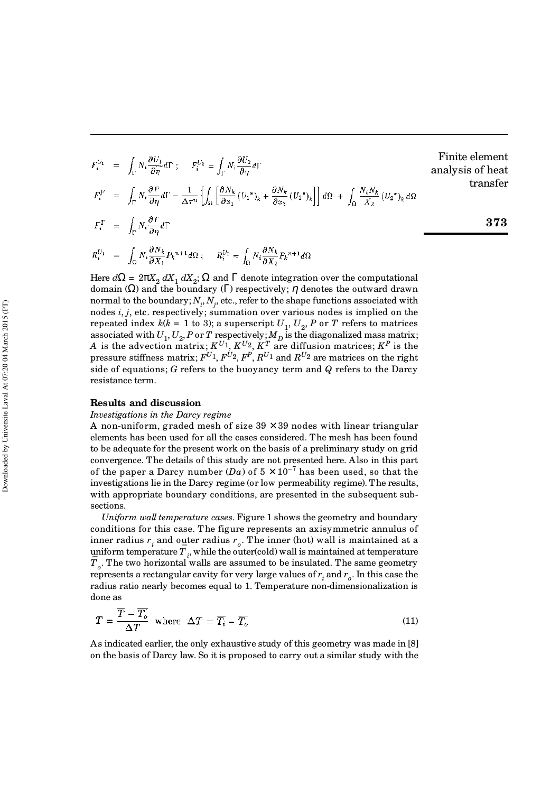$$
F_i^{U_1} = \int_{\Gamma} N_i \frac{\partial U_1}{\partial \eta} d\Gamma ; \quad F_i^{U_2} = \int_{\Gamma} N_i \frac{\partial U_2}{\partial \eta} d\Gamma
$$
  
\n
$$
F_i^P = \int_{\Gamma} N_i \frac{\partial P}{\partial \eta} d\Gamma - \frac{1}{\Delta \tau^n} \left[ \int_{\Omega} \left[ \frac{\partial N_k}{\partial x_1} (U_1^*)_k + \frac{\partial N_k}{\partial x_2} (U_2^*)_k \right] \right] d\Omega + \int_{\Omega} \frac{N_i N_k}{X_2} (U_2^*)_k d\Omega
$$
  
\n
$$
F_i^T = \int_{\Gamma} N_i \frac{\partial T}{\partial \eta} d\Gamma
$$
  
\n
$$
R_i^{U_1} = \int_{\Omega} N_i \frac{\partial N_k}{\partial X_1} P_k^{n+1} d\Omega ; \quad R_i^{U_2} = \int_{\Omega} N_i \frac{\partial N_k}{\partial X_2} P_k^{n+1} d\Omega
$$

Finite element analysis of heat transfer

$$
\boldsymbol{373}
$$

Here  $d\Omega = 2\pi X_2 dX_1 dX_2$ ;  $\Omega$  and  $\Gamma$  denote integration over the computational domain (Ω) and the boundary (Γ) respectively; η denotes the outward drawn normal to the boundary;  $N^{\vphantom{\dagger}}_i$  ,  $N^{\vphantom{\dagger}}_j$  , etc., refer to the shape functions associated with nodes *i*, *j*, etc. respectively; summation over various nodes is implied on the repeated index  $k(k = 1 \text{ to } 3)$ ; a superscript  $U_1, U_2, P$  or  $T$  refers to matrices associated with  $U_1, U_2, P$  or  $T$  respectively;  $M_D$  is the diagonalized mass matrix; *A* is the advection matrix;  $K^{U_1}$ ,  $K^{U_2}$ ,  $K^T$  are diffusion matrices;  $K^P$  is the pressure stiffness matrix;  $F^{U_1}$ ,  $F^{U_2}$ ,  $F^P$ ,  $R^{U_1}$  and  $R^{U_2}$  are matrices on the right side of equations; *G* refers to the buoyancy term and *Q* refers to the Darcy resistance term.

#### **Results and discussion**

#### *Investigations in the Darcy regime*

A non-uniform, graded mesh of size  $39 \times 39$  nodes with linear triangular elements has been used for all the cases considered. The mesh has been found to be adequate for the present work on the basis of a preliminary study on grid convergence. The details of this study are not presented here. Also in this part of the paper a Darcy number  $(Da)$  of  $5 \times 10^{-7}$  has been used, so that the investigations lie in the Darcy regime (or low permeability regime). The results, with appropriate boundary conditions, are presented in the subsequent subsections.

*Uniform wall temperature cases*. Figure 1 shows the geometry and boundary conditions for this case. The figure represents an axisymmetric annulus of inner radius  $r_i$  and outer radius  $r_o$ . The inner (hot) wall is maintained at a uniform temperature  $T_i$ , while the outer(cold) wall is maintained at temperature *T o* . The two horizontal walls are assumed to be insulated. The same geometry represents a rectangular cavity for very large values of  $r_i$  and  $r_o$ . In this case the radius ratio nearly becomes equal to 1. Temperature non-dimensionalization is done as

$$
T = \frac{T - T_o}{\Delta T} \text{ where } \Delta T = \overline{T_i} - \overline{T_o}
$$
 (11)

As indicated earlier, the only exhaustive study of this geometry was made in [8] on the basis of Darcy law. So it is proposed to carry out a similar study with the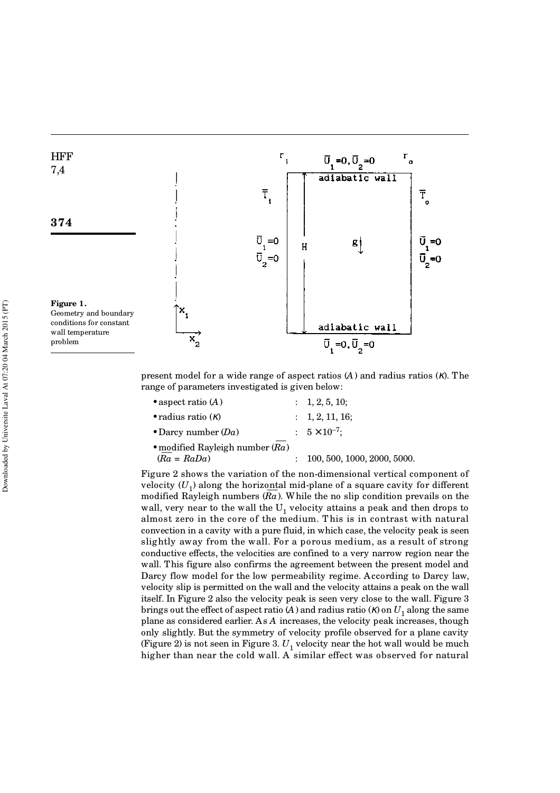

present model for a wide range of aspect ratios (*A*) and radius ratios (κ). The range of parameters investigated is given below:

| • aspect ratio $(A)$              | : 1, 2, 5, 10;                |
|-----------------------------------|-------------------------------|
| • radius ratio $(\kappa)$         | $\therefore$ 1, 2, 11, 16;    |
| • Darcy number $(Da)$             | $: 5 \times 10^{-7};$         |
| • modified Rayleigh number $(Ra)$ |                               |
| $(Ra = RaDa)$                     | : 100, 500, 1000, 2000, 5000. |

Figure 2 shows the variation of the non-dimensional vertical component of velocity  $(U_1)$  along the horizontal mid-plane of a square cavity for different modified Rayleigh numbers (*Ra* ). While the no slip condition prevails on the wall, very near to the wall the  $\mathrm{U}_1$  velocity attains a peak and then drops to almost zero in the core of the medium. T his is in contrast with natural convection in a cavity with a pure fluid, in which case, the velocity peak is seen slightly away from the wall. For a porous medium, as a result of strong conductive effects, the velocities are confined to a very narrow region near the wall. This figure also confirms the agreement between the present model and Darcy flow model for the low permeability regime. According to Darcy law, velocity slip is permitted on the wall and the velocity attains a peak on the wall itself. In Figure 2 also the velocity peak is seen very close to the wall. Figure 3 brings out the effect of aspect ratio (*A* ) and radius ratio (*K*) on  $U_1$  along the same plane as considered earlier. As *A* increases, the velocity peak increases, though only slightly. But the symmetry of velocity profile observed for a plane cavity (Figure 2) is not seen in Figure 3.  $U^{}_1$  velocity near the hot wall would be much higher than near the cold wall. A similar effect was observed for natural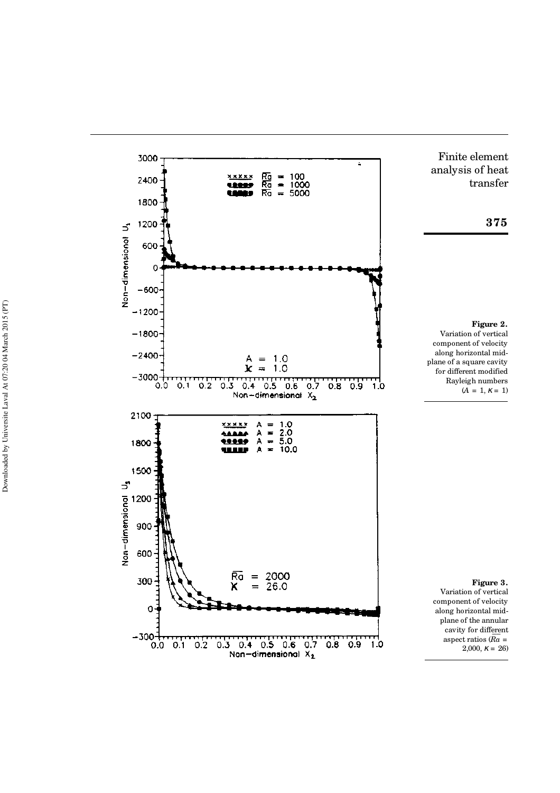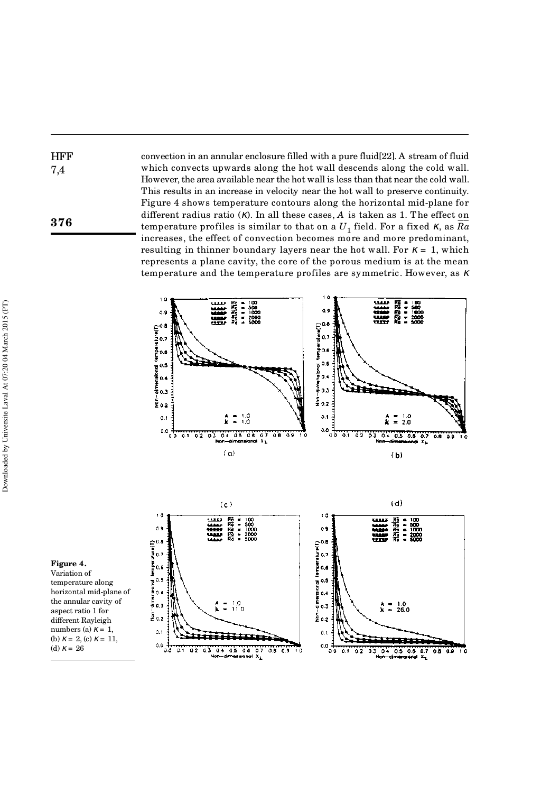convection in an annular enclosure filled with a pure fluid[22]. A stream of fluid which convects upwards along the hot wall descends along the cold wall. However, the area available near the hot wall is less than that near the cold wall. This results in an increase in velocity near the hot wall to preserve continuity. Figure 4 shows temperature contours along the horizontal mid-plane for different radius ratio (κ). In all these cases, *A* is taken as 1. The effect on temperature profiles is similar to that on a  $U_1$  field. For a fixed  $\kappa$ , as  $\overline{Ra}$ increases, the effect of convection becomes more and more predominant, resulting in thinner boundary layers near the hot wall. For  $\kappa = 1$ , which represents a plane cavity, the core of the porous medium is at the mean temperature and the temperature profiles are symmetric. However, as <sup>κ</sup>





#### **Figure 4.** Variation of

**HFF** 7,4

**376**

temperature along horizontal mid-plane of the annular cavity of aspect ratio 1 for different Rayleigh numbers (a)  $\kappa = 1$ , (b)  $\kappa = 2$ , (c)  $\kappa = 11$ , (d)  $\kappa = 26$ 

Downloaded by Universite Laval At 07:20 04 March 2015 (PT) Downloaded by Universite Laval At 07:20 04 March 2015 (PT)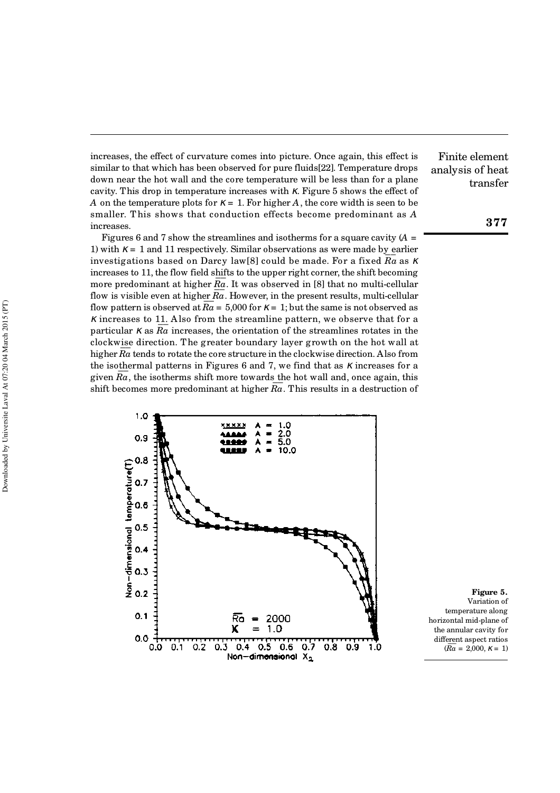increases, the effect of curvature comes into picture. Once again, this effect is similar to that which has been observed for pure fluids[22]. Temperature drops down near the hot wall and the core temperature will be less than for a plane cavity. This drop in temperature increases with  $\kappa$ . Figure 5 shows the effect of *A* on the temperature plots for  $K = 1$ . For higher *A*, the core width is seen to be smaller. T his shows that conduction effects become predominant as *A* increases.

Figures 6 and 7 show the streamlines and isotherms for a square cavity (*A* = 1) with  $\kappa = 1$  and 11 respectively. Similar observations as were made by earlier investigations based on Darcy law[8] could be made. For a fixed *Ra* as <sup>κ</sup> increases to 11, the flow field shifts to the upper right corner, the shift becoming more predominant at higher  $\overline{Ra}$ . It was observed in [8] that no multi-cellular flow is visible even at higher  $\overline{Ra}$ . However, in the present results, multi-cellular flow is visible even at higher  $Ia$ . However, in the present results, indir-central<br>flow pattern is observed at  $\overline{Ra} = 5,000$  for  $\kappa = 1$ ; but the same is not observed as  $\kappa$  increases to 11. Also from the streamline pattern, we observe that for a  $\frac{1}{2}$  and  $\frac{1}{2}$  and  $\frac{1}{2}$  increases, the orientation of the streamlines rotates in the clockwise direction. The greater boundary layer growth on the hot wall at  $\frac{1}{2}$  and  $\frac{1}{2}$  are the core structure in the clockwise direction. Also from higher  $\overline{Ra}$  tends to rotate the core structure in the clockwise direction. Also from the isothermal patterns in Figures 6 and 7, we find that as  $\kappa$  increases for a given  $\overline{Ra}$ , the isotherms shift more towards the hot wall and, once again, this shift becomes more predominant at higher  $\overline{Ra}$ . This results in a destruction of



**Figure 5.** Variation of temperature along horizontal mid-plane of the annular cavity for different aspect ratios  $(Ra = 2,000, \, \kappa = 1)$ 

Finite element analysis of heat transfer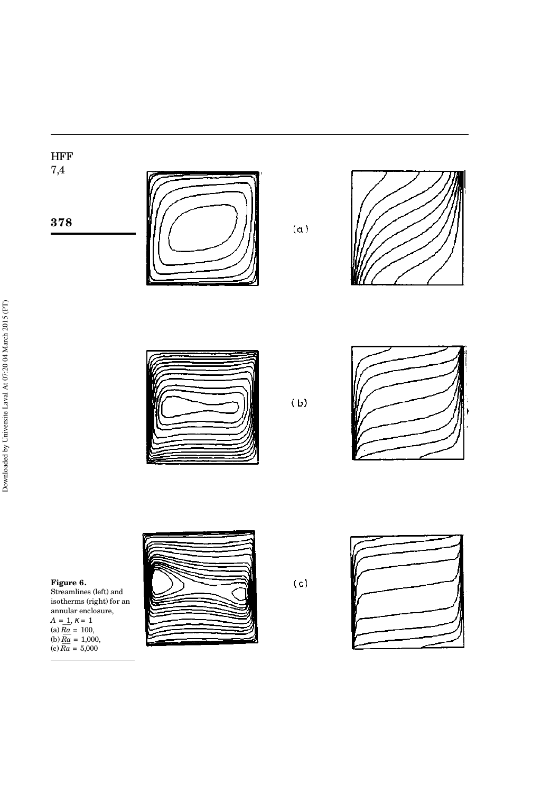

**378**



 $(a)$ 





 $(b)$ 



**Figure 6.**

Streamlines (left) and isotherms (right) for an annular enclosure,  $A = 1, \, K = 1$  $A = 1, X = 1$ <br>(a)  $Ra = 100,$ (a)  $\frac{ra}{Ra} = 100$ ,<br>(b)  $\overline{Ra} = 1,000$ , (c)  $\frac{Ra}{Ra} = 1,000$ <br>(c)  $\overline{Ra} = 5,000$ 



 $(c)$ 

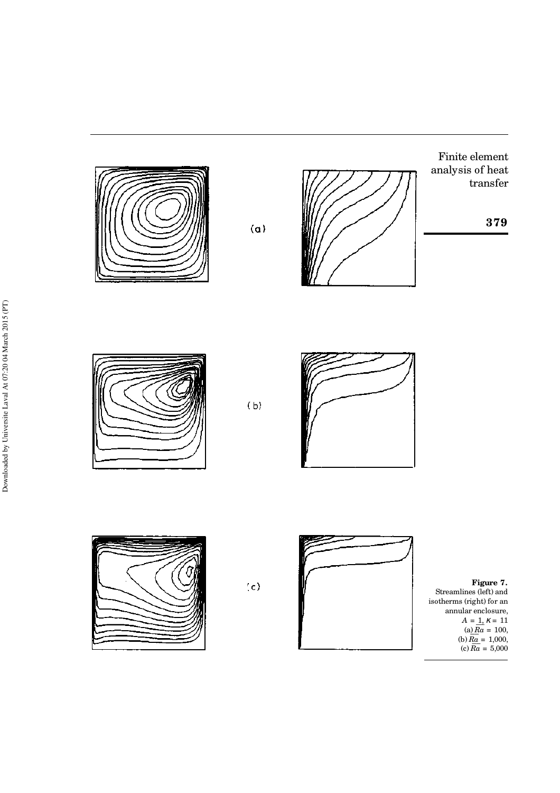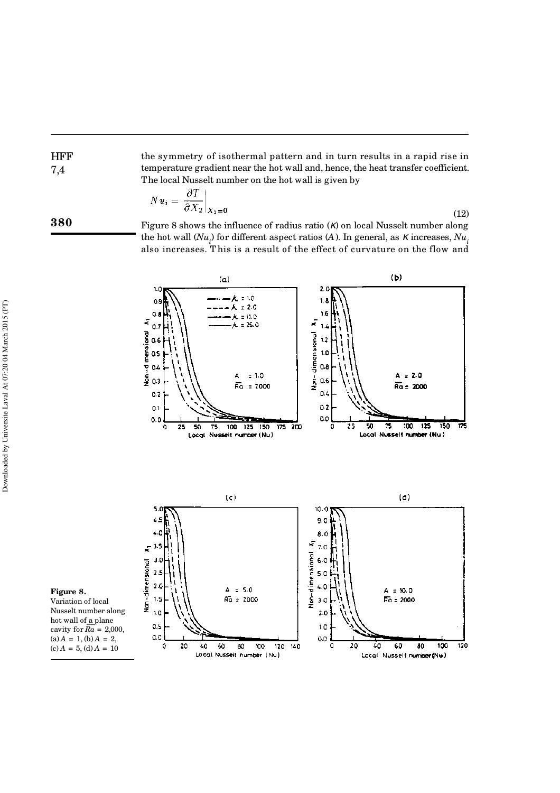the symmetry of isothermal pattern and in turn results in a rapid rise in temperature gradient near the hot wall and, hence, the heat transfer coefficient. The local Nusselt number on the hot wall is given by

$$
Nu_i = \left. \frac{\partial T}{\partial X_2} \right|_{X_2 = 0} \tag{12}
$$

**380**

HFF 7,4

> Figure 8 shows the influence of radius ratio (κ) on local Nusselt number along the hot wall  $(Nu_{i\text{}})$  for different aspect ratios (*A*). In general, as  $\kappa$  increases,  $Nu_{i\text{}}$ also increases. T his is a result of the effect of curvature on the flow and



**Figure 8.**

Variation of local Nusselt number along  $\frac{1}{2}$  hot wall of <u>a</u> plane cavity for  $Ra = 2,000$ ,  $(a) A = 1, (b) A = 2,$  $(c) A = 5$ , (d)  $A = 10$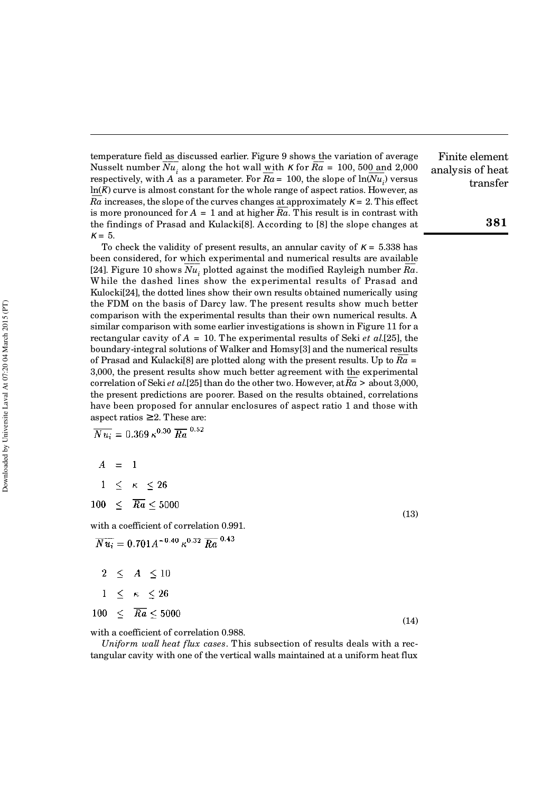temperature field as discussed earlier. Figure 9 shows the variation of average Nusselt number  $\overline{Nu}_i$  along the hot wall with  $\kappa$  for  $\overline{Ra} = 100, 500$  and 2,000 respectively, with *A* as a parameter. For  $\overline{Ra} = 100$ , the slope of  $\ln(\overline{Nu}_i)$  versus  $\ln(\overline{k})$  curve is almost constant for the whole range of aspect ratios. However, as  $\overline{Ra}$  ,  $\overline{Ra}$  increases, the slope of the curves changes at approximately  $\kappa = 2$ . This effect For more pronounced for  $A = 1$  and at higher  $\overline{Ra}$ . This result is in contrast with the findings of Prasad and Kulacki[8]. According to [8] the slope changes at  $\kappa = 5$ .

To check the validity of present results, an annular cavity of  $\kappa = 5.338$  has been considered, for which experimental and numerical results are available<br> $\overline{P}$ been considered, for which experimental and numerical results are available [24]. Figure 10 shows  $\overline{Nu}_i$  plotted against the modified Rayleigh number  $\overline{Ra}$ . W hile the dashed lines show the experimental results of Prasad and Kulocki[24], the dotted lines show their own results obtained numerically using the FDM on the basis of Darcy law. The present results show much better comparison with the experimental results than their own numerical results. A similar comparison with some earlier investigations is shown in Figure 11 for a rectangular cavity of *A* = 10. The experimental results of Seki *et al*.[25], the boundary-integral solutions of Walker and Homsy[3] and the numerical results of Prasad and Kulacki[8] are plotted along with the present results. Up to *Ra* = 3,000, the present results show much better agreement with the experimental correlation of Seki *et al.*[25] than do the other two. However, at  $\overline{Ra} >$  about 3,000, correlation of Seki *et al.*[25] than do the other two. However, at  $\overline{Ra} >$  about 3,000, the present predictions are poorer. Based on the results obtained, correlations have been proposed for annular enclosures of aspect ratio 1 and those with aspect ratios  $\geq 2$ . These are:

 $\overline{Nu_i} = 0.369 \,\kappa^{0.30} \,\overline{Ra}^{0.52}$ 

$$
A = 1
$$

$$
1 \leq \kappa \leq 26
$$

 $100 \leq \overline{Ra} \leq 5000$ 

with a coefficient of correlation 0.991.  $\overline{Nu_i} = 0.701 A^{-0.40} \kappa^{0.32} \overline{Ra}^{0.43}$ 

|  | $2 \leq A \leq 10$                 |      |
|--|------------------------------------|------|
|  | $1 \leq \kappa \leq 26$            |      |
|  | $100 \leq \overline{Ra} \leq 5000$ | (14) |

with a coefficient of correlation 0.988.

*Uniform wall heat flux cases*. This subsection of results deals with a rectangular cavity with one of the vertical walls maintained at a uniform heat flux

Finite element analysis of heat transfer

(13)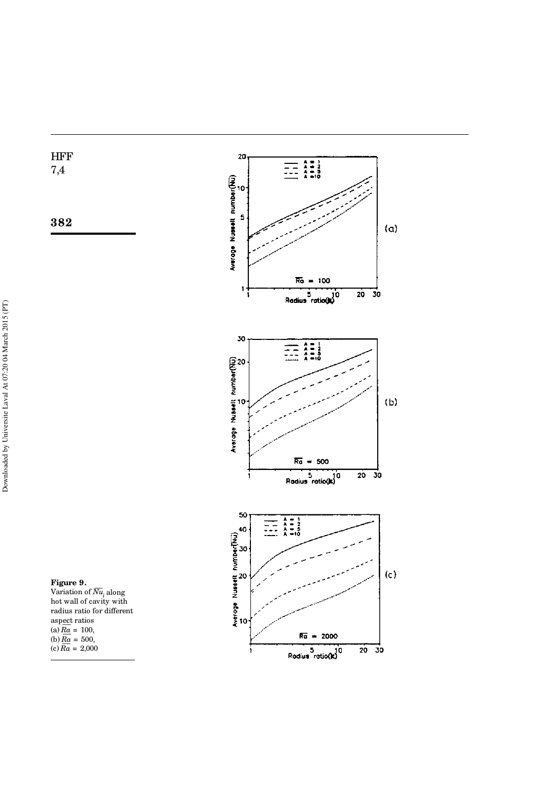HFF 7,4





Downloaded by Universite Laval At 07:20 04 March 2015 (PT) Downloaded by Universite Laval At 07:20 04 March 2015 (PT)

 $\overline{\text{V}}$ ariation of  $\overline{\text{N}u}_{i}$  along hot wall of cavity with radius ratio for different aspect ratios  $\frac{a\sec t}{Ra}$  ratios<br>(a)  $Ra = 100$ , (a)  $\frac{10a}{Ra} = 100$ ,<br>(b)  $\frac{10a}{Ra} = 500$ , (c)  $\frac{10}{Ra} = 200$ ,<br>(c)  $\frac{10}{Ra} = 2,000$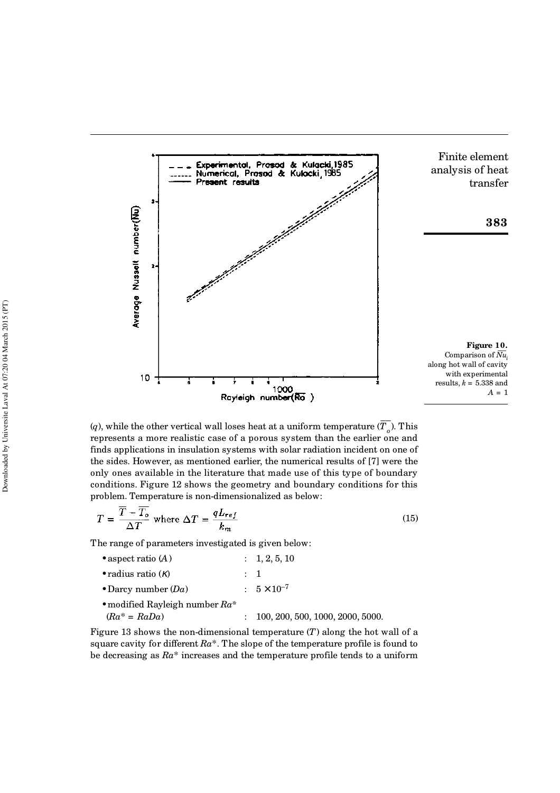

(*q*), while the other vertical wall loses heat at a uniform temperature ( $\overline{T_o}$ ). This represents a more realistic case of a porous system than the earlier one and finds applications in insulation systems with solar radiation incident on one of the sides. However, as mentioned earlier, the numerical results of [7] were the only ones available in the literature that made use of this type of boundary conditions. Figure 12 shows the geometry and boundary conditions for this problem. Temperature is non-dimensionalized as below:

$$
T = \frac{\overline{T} - \overline{T_o}}{\Delta T} \text{ where } \Delta T = \frac{qL_{ref}}{k_m} \tag{15}
$$

The range of parameters investigated is given below:

| • aspect ratio $(A)$                               |         | : 1, 2, 5, 10                      |
|----------------------------------------------------|---------|------------------------------------|
| • radius ratio $(\kappa)$                          | $\pm$ 1 |                                    |
| • Darcy number $(Da)$                              |         | $: 5 \times 10^{-7}$               |
| • modified Rayleigh number $Ra^*$<br>$Ra^* = RaDa$ |         | : 100, 200, 500, 1000, 2000, 5000. |

Figure 13 shows the non-dimensional temperature (*T*) along the hot wall of a square cavity for different *Ra*\*. The slope of the temperature profile is found to be decreasing as *Ra*\* increases and the temperature profile tends to a uniform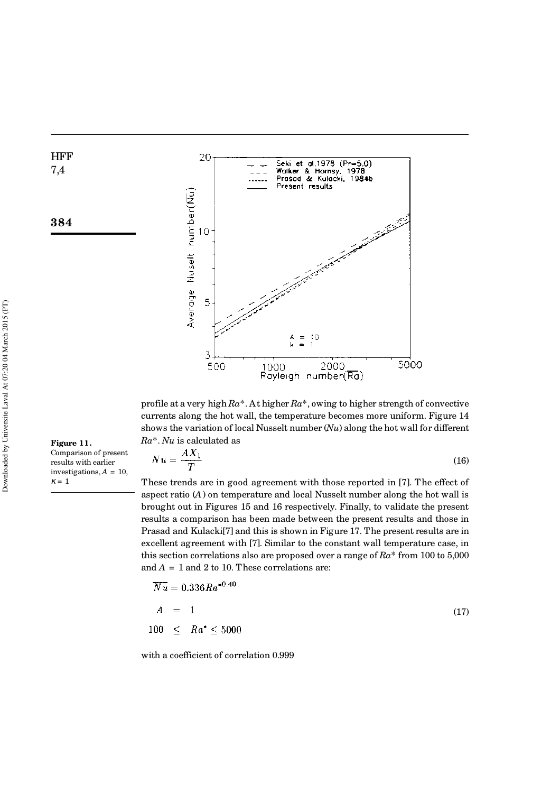**HFF** 7,4

**384**

**Figure 11.**

 $\kappa = 1$ 

Comparison of present results with earlier investigations, *A* = 10,



profile at a very high *Ra*\*. At higher *Ra*\*, owing to higher strength of convective currents along the hot wall, the temperature becomes more uniform. Figure 14 shows the variation of local Nusselt number (*Nu*) along the hot wall for different *Ra*\*. *Nu* is calculated as

 $N u = \frac{AX_1}{T}$ (16)

These trends are in good agreement with those reported in [7]. The effect of aspect ratio (*A*) on temperature and local Nusselt number along the hot wall is brought out in Figures 15 and 16 respectively. Finally, to validate the present results a comparison has been made between the present results and those in Prasad and Kulacki[7] and this is shown in Figure 17. The present results are in excellent agreement with [7]. Similar to the constant wall temperature case, in this section correlations also are proposed over a range of *Ra*\* from 100 to 5,000 and  $A = 1$  and 2 to 10. These correlations are:

$$
\overline{Nu} = 0.336 Ra^{*0.40}
$$
\n
$$
A = 1
$$
\n
$$
100 < Ra^* < 5000
$$
\n
$$
(17)
$$

with a coefficient of correlation 0.999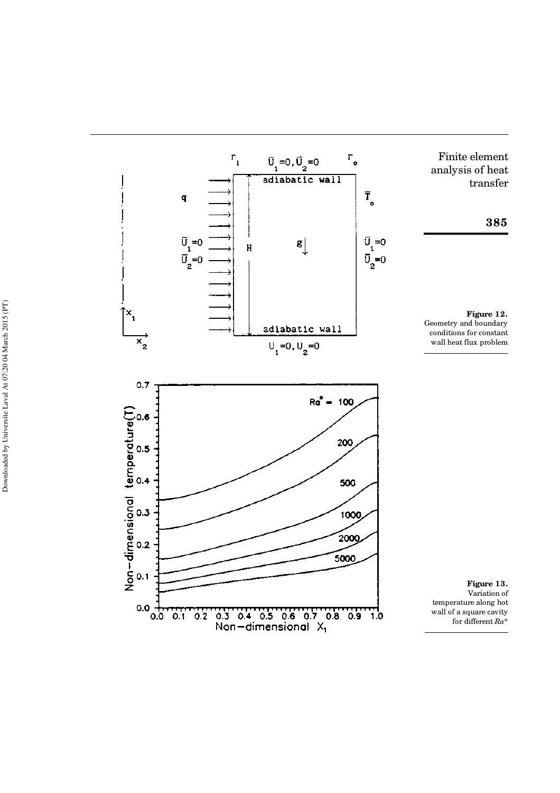

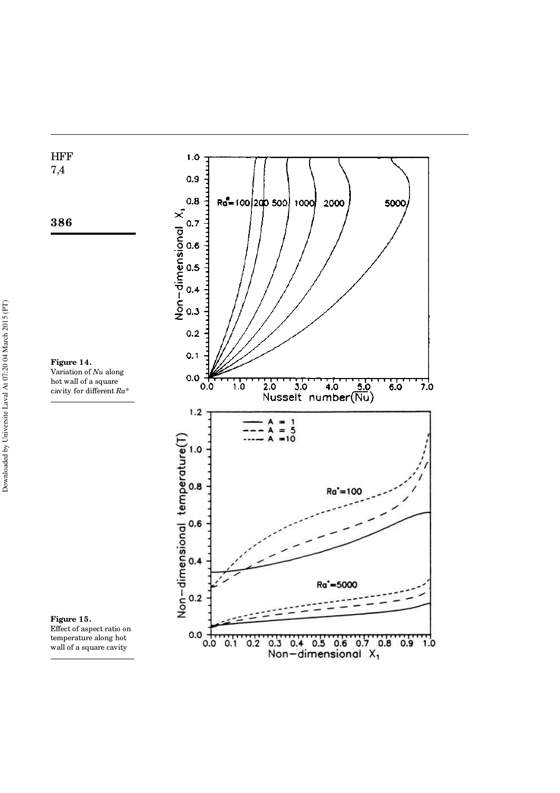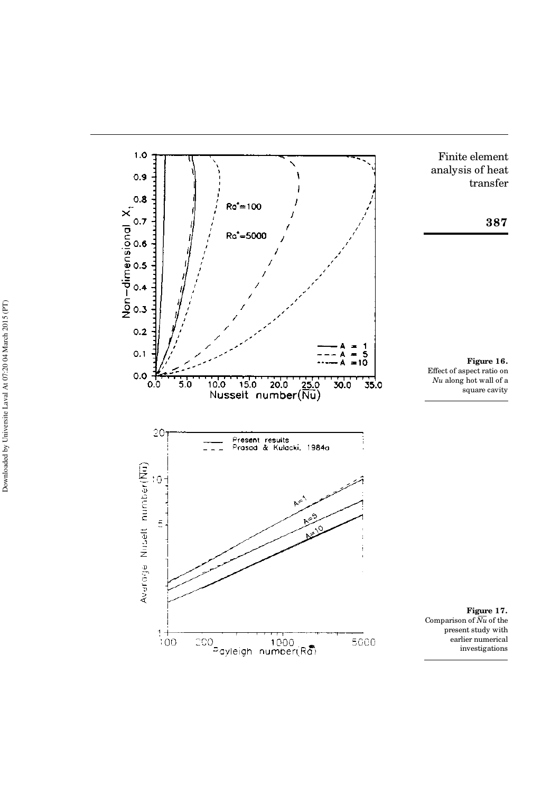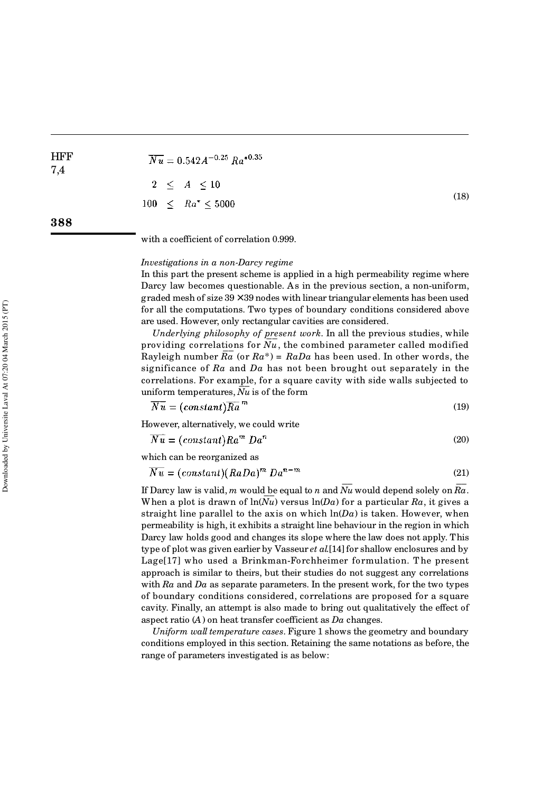$\overline{Nu} = 0.542 A^{-0.25} Ra^{*0.35}$  $\leq$   $A \leq 10$  $\overline{2}$ (18)  $100<sub>1</sub>$  $\leq Ra^* \leq 5000$ 

**388**

**HFF** 7,4

with a coefficient of correlation 0.999.

#### *Investigations in a non-Darcy regime*

In this part the present scheme is applied in a high permeability regime where Darcy law becomes questionable. As in the previous section, a non-uniform, graded mesh of size  $39 \times 39$  nodes with linear triangular elements has been used for all the computations. Two types of boundary conditions considered above are used. However, only rectangular cavities are considered.

*Underlying philosophy of present work*. In all the previous studies, while providing correlations for  $\overline{Nu}$ , the combined parameter called modified Rayleigh number  $\overline{Ra}$  (or  $Ra^*$ ) =  $RaDa$  has been used. In other words, the significance of *Ra* and *Da* has not been brought out separately in the correlations. For example, for a square cavity with side walls subjected to uniform temperatures,  $\overline{Nu}$  is of the form

$$
\overline{Nu} = (constant)\overline{Ra}^m \tag{19}
$$

However, alternatively, we could write

$$
\overline{Nu} = (constant)Ra^m \, Da^n \tag{20}
$$

which can be reorganized as

$$
\overline{Nu} = (constant)(RaDa)^m Da^{n-m}
$$
\n(21)

If Darcy law is valid,  $m$  would be equal to  $n$  and  $\overline{Nu}$  would depend solely on  $\overline{Ra}$  . when a plot is drawn of  $\ln(\overline{Nu})$  versus  $\ln(Da)$  for a particular  $Ra$ , it gives a straight line parallel to the axis on which  $ln(Da)$  is taken. However, when permeability is high, it exhibits a straight line behaviour in the region in which Darcy law holds good and changes its slope where the law does not apply. This type of plot was given earlier by Vasseur *et al.*[14] for shallow enclosures and by Lage[17] who used a Brinkman-Forchheimer formulation. T he present approach is similar to theirs, but their studies do not suggest any correlations with *Ra* and *Da* as separate parameters. In the present work, for the two types of boundary conditions considered, correlations are proposed for a square cavity. Finally, an attempt is also made to bring out qualitatively the effect of aspect ratio (*A*) on heat transfer coefficient as *Da* changes.

*Uniform wall temperature cases*. Figure 1 shows the geometry and boundary conditions employed in this section. Retaining the same notations as before, the range of parameters investigated is as below: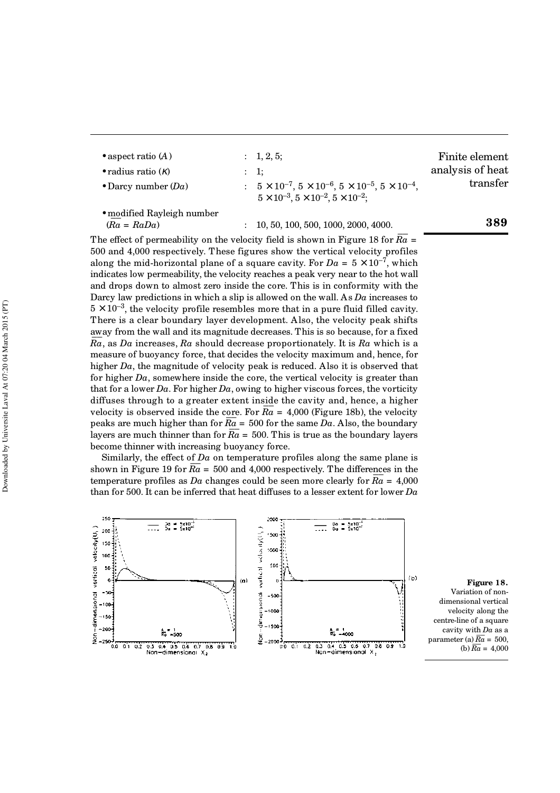| • aspect ratio $(A)$<br>• radius ratio $(K)$<br>• Darcy number $(Da)$ |                      | $: \quad 1, 2, 5;$<br>$\therefore$ 1:<br>: $5 \times 10^{-7}$ , $5 \times 10^{-6}$ , $5 \times 10^{-5}$ , $5 \times 10^{-4}$ ,<br>$5 \times 10^{-3}$ , $5 \times 10^{-2}$ , $5 \times 10^{-2}$ ; | Finite element<br>analysis of heat<br>transfer |  |
|-----------------------------------------------------------------------|----------------------|--------------------------------------------------------------------------------------------------------------------------------------------------------------------------------------------------|------------------------------------------------|--|
| • modified Rayleigh number<br>$(Ra = RaDa)$                           | $\ddot{\phantom{a}}$ | 10, 50, 100, 500, 1000, 2000, 4000.                                                                                                                                                              | 389                                            |  |

The effect of permeability on the velocity field is shown in Figure 18 for  $\overline{Ra}$  = 500 and 4,000 respectively. These figures show the vertical velocity profiles along the mid-horizontal plane of a square cavity. For  $Da = 5 \times 10^{-7}$ , which indicates low permeability, the velocity reaches a peak very near to the hot wall and drops down to almost zero inside the core. This is in conformity with the Darcy law predictions in which a slip is allowed on the wall. As *Da* increases to  $5 \times 10^{-3}$ , the velocity profile resembles more that in a pure fluid filled cavity. There is a clear boundary layer development. Also, the velocity peak shifts away from the wall and its magnitude decreases. This is so because, for a fixed *Ra* , as *Da* increases, *Ra* should decrease proportionately. It is *Ra* which is a measure of buoyancy force, that decides the velocity maximum and, hence, for higher *Da*, the magnitude of velocity peak is reduced. Also it is observed that for higher *Da*, somewhere inside the core, the vertical velocity is greater than that for a lower  $Da$ . For higher  $Da$ , owing to higher viscous forces, the vorticity diffuses through to a greater extent inside the cavity and, hence, a higher velocity is observed inside the core. For  $\overline{Ra} = 4,000$  (Figure 18b), the velocity peaks are much higher than for  $\overline{Ra} = 500$  for the same  $Da$ . Also, the boundary layers are much thinner than for  $\overline{Ra} = 500$ . This is true as the boundary layers are much thinner than for  $\overline{Ra} = 500$ . This is true as the boundary layers become thinner with increasing buoyancy force.

Similarly, the effect of *Da* on temperature profiles along the same plane is shown in Figure 19 for  $\overline{Ra} = 500$  and 4,000 respectively. The differences in the temperature profiles as *Da* changes could be seen more clearly for  $\overline{Ra} = 4,000$ than for 500. It can be inferred that heat diffuses to a lesser extent for lower *Da*



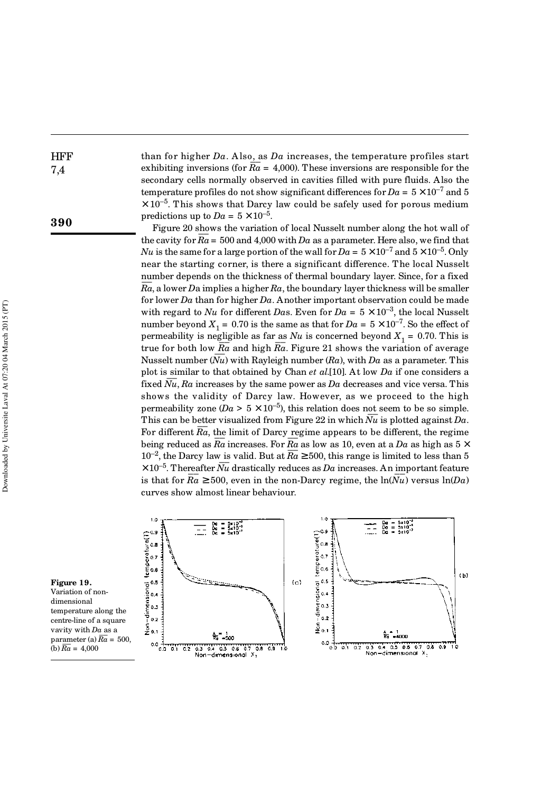than for higher *Da*. A lso, as *Da* increases, the temperature profiles start exhibiting inversions (for  $\overline{Ra} = 4,000$ ). These inversions are responsible for the secondary cells normally observed in cavities filled with pure fluids. Also the temperature profiles do not show significant differences for  $Da = 5 \times 10^{-7}$  and 5  $\times$  10<sup>-5</sup>. This shows that Darcy law could be safely used for porous medium predictions up to  $Da = 5 \times 10^{-5}$ .

Figure 20 shows the variation of local Nusselt number along the hot wall of the cavity for  $\overline{Ra} = 500$  and  $4,000$  with *Da* as a parameter. Here also, we find that *Nu* is the same for a large portion of the wall for  $Da = 5 \times 10^{-7}$  and  $5 \times 10^{-5}$ . Only near the starting corner, is there a significant difference. The local Nusselt number depends on the thickness of thermal boundary layer. Since, for a fixed  $\frac{1}{Ra}$ , a lower *D*a implies a higher  $Ra$ , the boundary layer thickness will be smaller for lower *Da* than for higher *Da*. Another important observation could be made with regard to *Nu* for different *Das*. Even for  $Da = 5 \times 10^{-3}$ , the local Nusselt number beyond  $X_1 = 0.70$  is the same as that for  $Da = 5 \times 10^{-7}$ . So the effect of permeability is negligible as far as  $Nu$  is concerned beyond  $X_1 = 0.70$ . This is true for both low  $\overline{Ra}$  and high  $\overline{Ra}$ . Figure 21 shows the variation of average Nusselt number  $(Nu)$  with Rayleigh number  $(Ra)$ , with *Da* as a parameter. This plot is similar to that obtained by Chan *et al*.[10]. At low *Da* if one considers a fixed  $\overline{Nu}$ ,  $\overline{Ra}$  increases by the same power as  $Da$  decreases and vice versa. This shows the validity of Darcy law. However, as we proceed to the high permeability zone ( $Da > 5 \times 10^{-5}$ ), this relation does not seem to be so simple. This can be better visualized from Figure 22 in which  $\overline{Nu}$  is plotted against  $Da$ . For different  $\overline{Ra}$ , the limit of Darcy regime appears to be different, the regime being reduced as  $\overline{Ra}$  increases. For  $\overline{Ra}$  as low as 10, even at a  $Da$  as high as  $5 \times$  $10^{-2}$ , the Darcy law is valid. But at  $\overline{Ra} \ge 500$ , this range is limited to less than 5  $\times 10^{-5}$ . Thereafter *Nu* drastically reduces as *Da* increases. An important feature is that for  $\overline{Ra} \ge 500$ , even in the non-Darcy regime, the  $\ln(Nu)$  versus  $\ln(Da)$ curves show almost linear behaviour.



**Figure 19.** Variation of nondimensional temperature along the centre-line of a square vavity with *Da* as a parameter (a)  $\overline{Ra} = 500$ .

(b)  $\overline{Ra} = 4.000$ 

**HFF** 7,4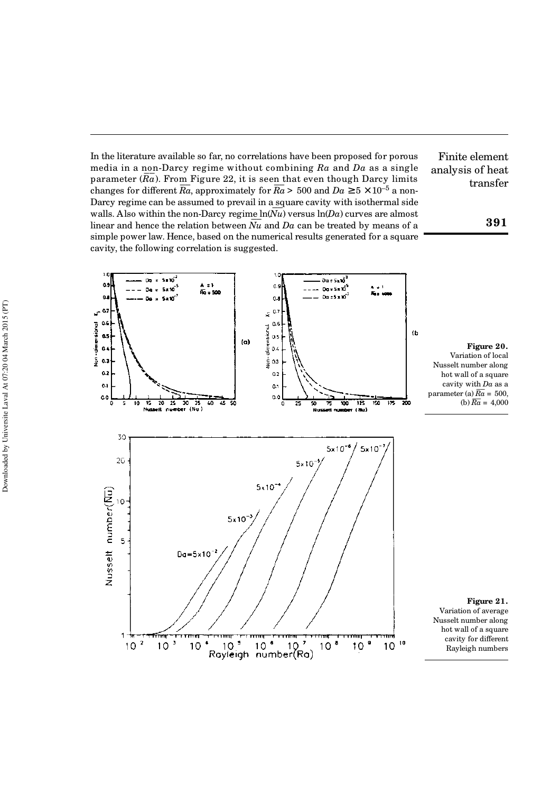In the literature available so far, no correlations have been proposed for porous media in a non-Darcy regime without combining *Ra* and *Da* as a single parameter (*Ra* ––). From Figure 22, it is seen that even though Darcy limits changes for different  $\overline{Ra}$ , approximately for  $\overline{Ra} > 500$  and  $Da \ge 5 \times 10^{-5}$  a non-Darcy regime can be assumed to prevail in a square cavity with isothermal side  $\Delta$  arcy regime can be assumed to prevail in a square cavity with isothermal side walls. Also within the non-Darcy regime  $\ln(Nu)$  versus  $\ln(Da)$  curves are almost wans. Also widn't the non-Darty regime introduced we say the vest all allocated by means of a linear and hence the relation between  $\overline{Nu}$  and  $\overline{Da}$  can be treated by means of a simple power law. Hence, based on the numerical results generated for a square cavity, the following correlation is suggested.

Finite element analysis of heat transfer

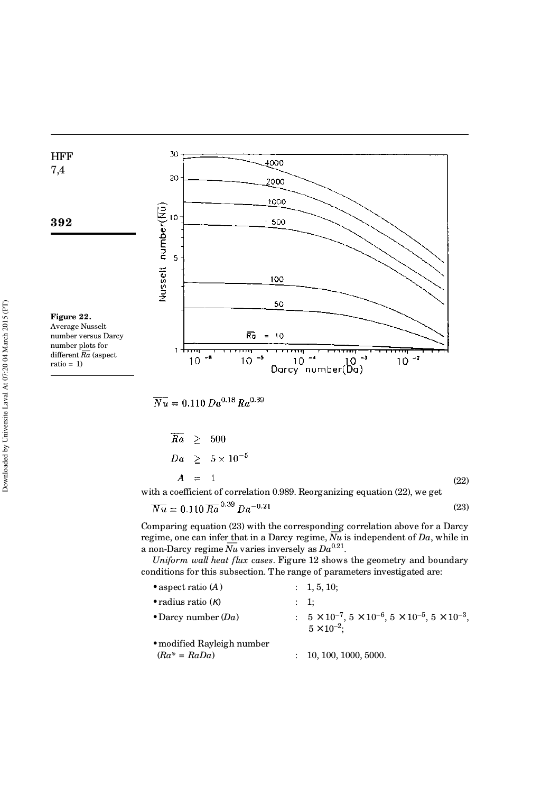

 $\overline{Nu} = 0.110 \, Da^{0.18} Ra^{0.39}$ 

$$
\begin{array}{rcl}\n\overline{Ra} & \geq & 500 \\
Da & \geq & 5 \times 10^{-5} \\
A & = & 1\n\end{array}\n\tag{22}
$$

with a coefficient of correlation 0.989. Reorganizing equation (22), we get

$$
\overline{Nu} = 0.110 \,\overline{Ra}^{0.39} \, Da^{-0.21} \tag{23}
$$

Comparing equation (23) with the corresponding correlation above for a Darcy comparing equation (23) with the corresponding correlation above for a Darcy regime, one can infer that in a Darcy regime,  $\overline{Nu}$  is independent of  $Da$ , while in regnie, one can mier <u>th</u>at in a Darcy regnie, *iva* is<br>a non-Darcy regime  $\overline{Nu}$  varies inversely as  $Da^{0.21}$ .

*Uniform wall heat flux cases*. Figure 12 shows the geometry and boundary conditions for this subsection. The range of parameters investigated are:

| • aspect ratio $(A)$                          | $: \quad 1, 5, 10;$                                                                                           |
|-----------------------------------------------|---------------------------------------------------------------------------------------------------------------|
| • radius ratio $(\kappa)$                     | : 1:                                                                                                          |
| • Darcy number $(Da)$                         | : $5 \times 10^{-7}$ , $5 \times 10^{-6}$ , $5 \times 10^{-5}$ , $5 \times 10^{-3}$ ,<br>$5 \times 10^{-2}$ ; |
| • modified Rayleigh number<br>$(Ra^* = RaDa)$ | 10, 100, 1000, 5000.                                                                                          |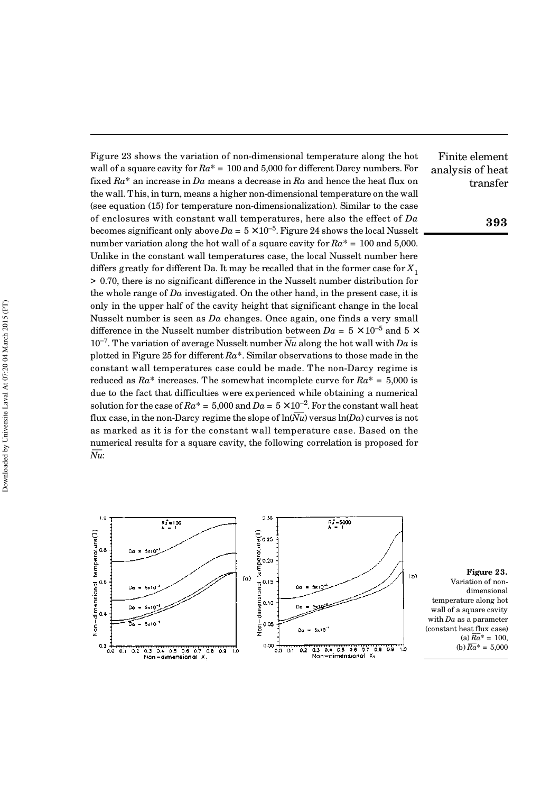Finite element analysis of heat transfer Figure 23 shows the variation of non-dimensional temperature along the hot wall of a square cavity for  $Ra^* = 100$  and 5,000 for different Darcy numbers. For fixed *Ra*\* an increase in *Da* means a decrease in *Ra* and hence the heat flux on the wall. This, in turn, means a higher non-dimensional temperature on the wall (see equation (15) for temperature non-dimensionalization). Similar to the case of enclosures with constant wall temperatures, here also the effect of *Da* becomes significant only above  $Da = 5 \times 10^{-5}$ . Figure 24 shows the local Nusselt number variation along the hot wall of a square cavity for *Ra*\* = 100 and 5,000. Unlike in the constant wall temperatures case, the local Nusselt number here differs greatly for different Da. It may be recalled that in the former case for  $X_1$ > 0.70, there is no significant difference in the Nusselt number distribution for the whole range of *Da* investigated. On the other hand, in the present case, it is only in the upper half of the cavity height that significant change in the local Nusselt number is seen as *Da* changes. Once again, one finds a very small difference in the Nusselt number distribution between  $Da = 5 \times 10^{-5}$  and  $5 \times$ 10<sup>-7</sup>. The variation of average Nusselt number  $\overline{Nu}$  along the hot wall with *Da* is plotted in Figure 25 for different *Ra*\*. Similar observations to those made in the constant wall temperatures case could be made. The non-Darcy regime is reduced as  $Ra^*$  increases. The somewhat incomplete curve for  $Ra^* = 5,000$  is due to the fact that difficulties were experienced while obtaining a numerical solution for the case of  $Ra^* = 5,000$  and  $Da = 5 \times 10^{-2}$ . For the constant wall heat flux case, in the non-Darcy regime the slope of  $\ln(Nu)$  versus  $\ln(Da)$  curves is not as marked as it is for the constant wall temperature case. Based on the numerical results for a square cavity, the following correlation is proposed for  $\frac{m}{N}$ :



**Figure 23.** Variation of nondimensional temperature along hot wall of a square cavity with *Da* as a parameter (constant heat flux case)  $(a) \overline{Ra}^* = 100$ (b)  $\overline{Ra}^* = 5,000$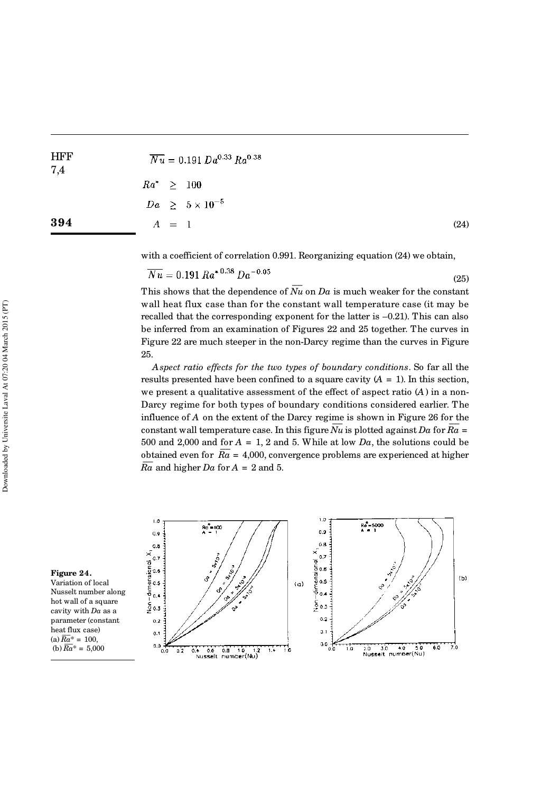| ${\rm HFF}$<br>7,4 | $\overline{Nu} = 0.191 Da^{0.33} Ra^{0.38}$ |      |
|--------------------|---------------------------------------------|------|
|                    | $Ra^* \geq 100$                             |      |
|                    | $Da \geq 5 \times 10^{-5}$                  |      |
| 394                | $A = 1$                                     | (24) |
|                    |                                             |      |

 $\sim$   $\sim$   $\sim$ 

with a coefficient of correlation 0.991. Reorganizing equation (24) we obtain,

$$
\overline{Nu} = 0.191 \, Ra^{*0.38} \, Da^{-0.05} \tag{25}
$$

This shows that the dependence of  $\overline{Nu}$  on  $Da$  is much weaker for the constant wall heat flux case than for the constant wall temperature case (it may be recalled that the corresponding exponent for the latter is –0.21). This can also be inferred from an examination of Figures 22 and 25 together. The curves in Figure 22 are much steeper in the non-Darcy regime than the curves in Figure 25.

*Aspect ratio effects for the two types of boundary conditions*. So far all the results presented have been confined to a square cavity  $(A = 1)$ . In this section, we present a qualitative assessment of the effect of aspect ratio (*A*) in a non-Darcy regime for both types of boundary conditions considered earlier. The influence of *A* on the extent of the Darcy regime is shown in Figure 26 for the constant wall temperature case. In this figure  $\overline{Nu}$  is plotted against *Da* for  $\overline{Ra}$  = 500 and 2,000 and for  $A = 1$ , 2 and 5. While at low  $Da$ , the solutions could be obtained even for  $\overline{Ra} = 4,000$ , convergence problems are experienced at higher  $\frac{\partial}{\partial a}$  and higher *Da* for  $A = 2$  and 5.



Variation of local Nusselt number along hot wall of a square cavity with *Da* as a parameter (constant heat flux case)  $(a) \overline{Ra}^* = 100,$ (b)  $\overline{Ra}^* = 5,000$ 

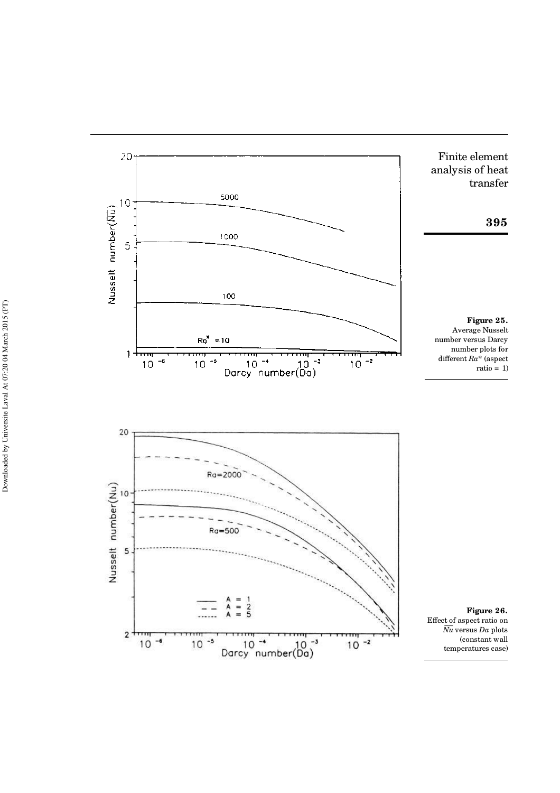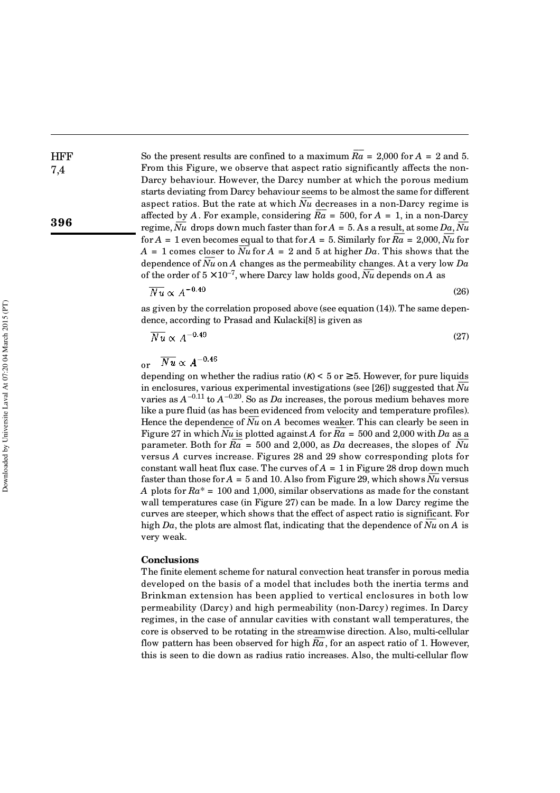**HFF** 

**396**

So the present results are confined to a maximum  $\overline{Ra}$  = 2,000 for A = 2 and 5. From this Figure, we observe that aspect ratio significantly affects the non-Darcy behaviour. However, the Darcy number at which the porous medium starts deviating from Darcy behaviour seems to be almost the same for different aspect ratios. But the rate at which  $\overline{Nu}$  decreases in a non-Darcy regime is affected by A. For example, considering  $\overline{Ra} = 500$ , for  $A = 1$ , in a non-Darcy regime,  $\overline{Nu}$  drops down much faster than for  $A = 5$ . As a result, at some  $\overline{Da}$ ,  $\overline{Nu}$ for  $A = 1$  even becomes equal to that for  $A = 5$ . Similarly for  $\overline{Ra} = 2,000$ ,  $\overline{Nu}$  for  $\frac{\mu}{D}$  $A = 1$  comes closer to  $\overline{Nu}$  for  $A = 2$  and 5 at higher *Da*. This shows that the dependence of *Nu* on *A* changes as the permeability changes. At a very low *Da* of the order of  $5 \times 10^{-7}$ , where Darcy law holds good,  $\overline{Nu}$  depends on A as

$$
\overline{Nu} \propto A^{-0.40} \tag{26}
$$

as given by the correlation proposed above (see equation (14)). The same dependence, according to Prasad and Kulacki[8] is given as

$$
\overline{Nu} \propto A^{-0.49} \tag{27}
$$

 $\overline{Nu} \propto A^{-0.46}$ or

depending on whether the radius ratio  $(K) < 5$  or  $\geq 5$ . However, for pure liquids in enclosures, various experimental investigations (see [26]) suggested that  $\overline{Nu}$ varies as  $A^{-0.11}$  to  $A^{-0.20}$ . So as  $Da$  increases, the porous medium behaves more like a pure fluid (as has been evidenced from velocity and temperature profiles). Hence the dependence of *Nu* on *A* becomes weaker. This can clearly be seen in Figure 27 in which  $\overline{Nu}$  is plotted against A for  $\overline{Ra} = 500$  and 2,000 with *Da* as a  $\overline{Pa} = 500$  and 2,000 with *Da* as a parameter. Both for  $\overline{Ra} = 500$  and 2,000, as *Da* decreases, the slopes of  $\overline{Nu}$ versus *A* curves increase. Figures 28 and 29 show corresponding plots for constant wall heat flux case. The curves of *A* = 1 in Figure 28 drop down much faster than those for  $A = 5$  and 10. Also from Figure 29, which shows  $\overline{Nu}$  versus *A* plots for *Ra*\* = 100 and 1,000, similar observations as made for the constant wall temperatures case (in Figure 27) can be made. In a low Darcy regime the curves are steeper, which shows that the effect of aspect ratio is significant. For high *Da*, the plots are almost flat, indicating that the dependence of *Nu* on *A* is very weak.

#### **Conclusions**

The finite element scheme for natural convection heat transfer in porous media developed on the basis of a model that includes both the inertia terms and Brinkman extension has been applied to vertical enclosures in both low permeability (Darcy) and high permeability (non-Darcy) regimes. In Darcy regimes, in the case of annular cavities with constant wall temperatures, the core is observed to be rotating in the streamwise direction. Also, multi-cellular flow pattern has been observed for high  $\overline{Ra}$ , for an aspect ratio of 1. However, this is seen to die down as radius ratio increases. Also, the multi-cellular flow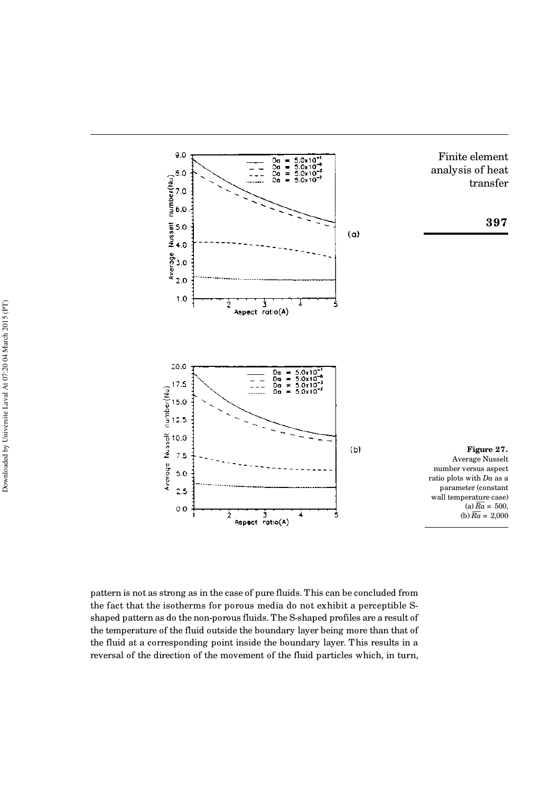

pattern is not as strong as in the case of pure fluids. This can be concluded from the fact that the isotherms for porous media do not exhibit a perceptible Sshaped pattern as do the non-porous fluids. The S-shaped profiles are a result of the temperature of the fluid outside the boundary layer being more than that of the fluid at a corresponding point inside the boundary layer. This results in a reversal of the direction of the movement of the fluid particles which, in turn,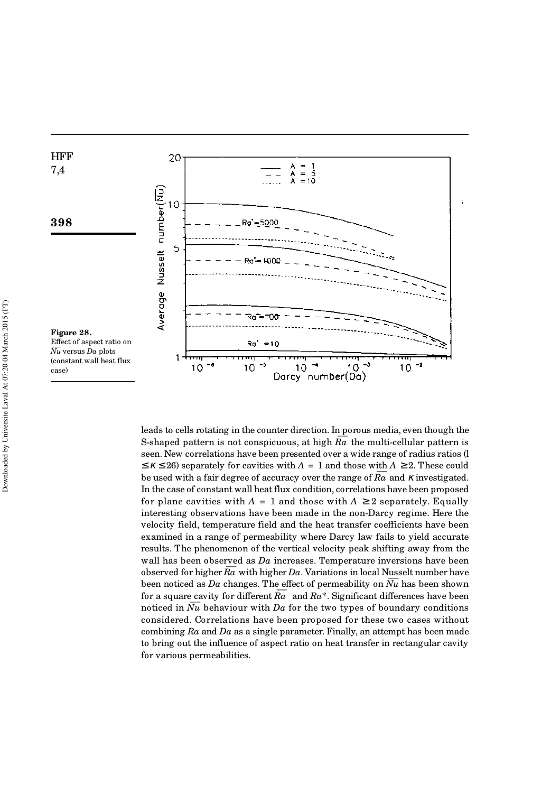

leads to cells rotating in the counter direction. In porous media, even though the S-shaped pattern is not conspicuous, at high  $\overline{Ra}$  the multi-cellular pattern is seen. New correlations have been presented over a wide range of radius ratios (l  $\leq$  K  $\leq$  26) separately for cavities with *A* = 1 and those with *A*  $\geq$  2. These could  $\frac{1}{2}$   $\kappa$   $\ge$  20) separately for cavides what  $\lambda$  = 1 and drose what  $\lambda$   $\ge$  2. These codid be used with a fair degree of accuracy over the range of  $\overline{Ra}$  and  $\kappa$  investigated. In the case of constant wall heat flux condition, correlations have been proposed for plane cavities with  $A = 1$  and those with  $A \geq 2$  separately. Equally interesting observations have been made in the non-Darcy regime. Here the velocity field, temperature field and the heat transfer coefficients have been examined in a range of permeability where Darcy law fails to yield accurate results. The phenomenon of the vertical velocity peak shifting away from the wall has been observed as *Da* increases. Temperature inversions have been wan has been observed as  $Du$  increases. Temperature inversions have been<br>observed for higher  $\overline{Ra}$  with higher  $Da$ . Variations in local Nusselt number have been noticed as *Da* changes. The effect of permeability on  $\overline{Nu}$  has been shown for a square cavity for different  $\overline{Ra}$  and  $Ra^*$ . Significant differences have been noticed in  $\overline{Nu}$  behaviour with  $Da$  for the two types of boundary conditions considered. Correlations have been proposed for these two cases without combining *Ra* and *Da* as a single parameter. Finally, an attempt has been made to bring out the influence of aspect ratio on heat transfer in rectangular cavity for various permeabilities.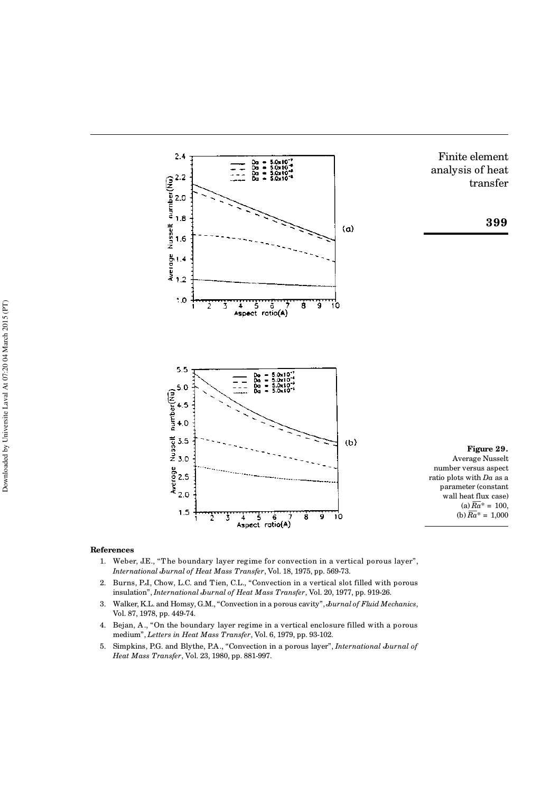

#### **References**

- 1. Weber, J.E., "T he boundary layer regime for convection in a vertical porous layer", *International Journal of Heat Mass Transfer*, Vol. 18, 1975, pp. 569-73.
- 2. Burns, P.J., Chow, L.C. and Tien, C.L., "Convection in a vertical slot filled with porous insulation", *International Journal of Heat Mass Transfer*, Vol. 20, 1977, pp. 919-26.
- 3. Walker, K.L. and Homsy, G.M., "Convection in a porous cavity", *Journal of Fluid Mechanics*, Vol. 87, 1978, pp. 449-74.
- 4. Bejan, A., "On the boundary layer regime in a vertical enclosure filled with a porous medium", *Letters in Heat Mass Transfer*, Vol. 6, 1979, pp. 93-102.
- 5. Simpkins, P.G. and Blythe, P.A., "Convection in a porous layer", *International Journal of Heat Mass Transfer*, Vol. 23, 1980, pp. 881-997.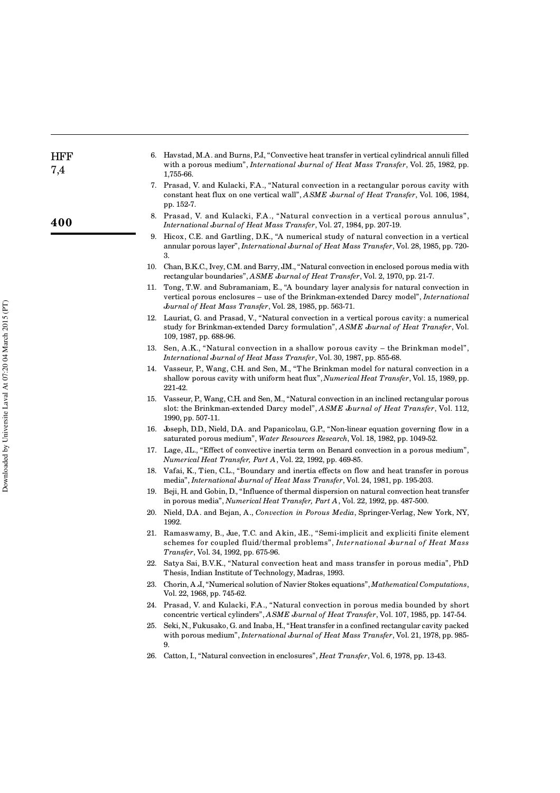| <b>HFF</b><br>7,4 |     | 6. Havstad, M.A. and Burns, P.J. "Convective heat transfer in vertical cylindrical annuli filled<br>with a porous medium", International Journal of Heat Mass Transfer, Vol. 25, 1982, pp.<br>1,755-66.                                                     |
|-------------------|-----|-------------------------------------------------------------------------------------------------------------------------------------------------------------------------------------------------------------------------------------------------------------|
|                   |     | 7. Prasad, V. and Kulacki, F.A., "Natural convection in a rectangular porous cavity with<br>constant heat flux on one vertical wall", ASME Jurnal of Heat Transfer, Vol. 106, 1984,<br>pp. 152-7.                                                           |
| 400               |     | 8. Prasad, V. and Kulacki, F.A., "Natural convection in a vertical porous annulus",<br>International Jurnal of Heat Mass Transfer, Vol. 27, 1984, pp. 207-19.                                                                                               |
|                   |     | 9. Hicox, C.E. and Gartling, D.K., "A numerical study of natural convection in a vertical<br>annular porous layer", International Jurnal of Heat Mass Transfer, Vol. 28, 1985, pp. 720-<br>3.                                                               |
|                   |     | 10. Chan, B.K.C., Ivey, C.M. and Barry, J.M., "Natural convection in enclosed porous media with<br>rectangular boundaries", ASME Journal of Heat Transfer, Vol. 2, 1970, pp. 21-7.                                                                          |
|                   |     | 11. Tong, T.W. and Subramaniam, E., "A boundary layer analysis for natural convection in<br>vertical porous enclosures – use of the Brinkman-extended Darcy model", <i>International</i><br><i>burnal of Heat Mass Transfer, Vol. 28, 1985, pp. 563-71.</i> |
|                   |     | 12. Lauriat, G. and Prasad, V., "Natural convection in a vertical porous cavity: a numerical<br>study for Brinkman-extended Darcy formulation", ASME Jurnal of Heat Transfer, Vol.<br>109, 1987, pp. 688-96.                                                |
|                   |     | 13. Sen, A.K., "Natural convection in a shallow porous cavity – the Brinkman model",<br>International Journal of Heat Mass Transfer, Vol. 30, 1987, pp. 855-68.                                                                                             |
|                   |     | 14. Vasseur, P., Wang, C.H. and Sen, M., "The Brinkman model for natural convection in a<br>shallow porous cavity with uniform heat flux", <i>Numerical Heat Transfer</i> , Vol. 15, 1989, pp.<br>221-42.                                                   |
|                   |     | 15. Vasseur, P., Wang, C.H. and Sen, M., "Natural convection in an inclined rectangular porous<br>slot: the Brinkman-extended Darcy model", ASME Jurnal of Heat Transfer, Vol. 112,<br>1990, pp. 507-11.                                                    |
|                   |     | 16. Joseph, D.D., Nield, D.A. and Papanicolau, G.P., "Non-linear equation governing flow in a<br>saturated porous medium", Water Resources Research, Vol. 18, 1982, pp. 1049-52.                                                                            |
|                   |     | 17. Lage, JL., "Effect of convective inertia term on Benard convection in a porous medium",<br>Numerical Heat Transfer, Part A, Vol. 22, 1992, pp. 469-85.                                                                                                  |
|                   |     | 18. Vafai, K., Tien, C.L., "Boundary and inertia effects on flow and heat transfer in porous<br>media", International Journal of Heat Mass Transfer, Vol. 24, 1981, pp. 195-203.                                                                            |
|                   |     | 19. Beji, H. and Gobin, D., "Influence of thermal dispersion on natural convection heat transfer<br>in porous media", Numerical Heat Transfer, Part A, Vol. 22, 1992, pp. 487-500.                                                                          |
|                   |     | 20. Nield, D.A. and Bejan, A., Convection in Porous Media, Springer-Verlag, New York, NY,<br>1992.                                                                                                                                                          |
|                   |     | 21. Ramaswamy, B., Jue, T.C. and Akin, J.E., "Semi-implicit and expliciti finite element<br>schemes for coupled fluid/thermal problems", International Journal of Heat Mass<br><i>Transfer</i> , Vol. 34, 1992, pp. 675-96.                                 |
|                   |     | 22. Satya Sai, B.V.K., "Natural convection heat and mass transfer in porous media", PhD<br>Thesis, Indian Institute of Technology, Madras, 1993.                                                                                                            |
|                   | 23. | Chorin, A.J., "Numerical solution of Navier Stokes equations", Mathematical Computations,<br>Vol. 22, 1968, pp. 745-62.                                                                                                                                     |
|                   |     | 24. Prasad, V. and Kulacki, F.A., "Natural convection in porous media bounded by short<br>concentric vertical cylinders", ASME Journal of Heat Transfer, Vol. 107, 1985, pp. 147-54.                                                                        |
|                   | 25. | Seki, N., Fukusako, G. and Inaba, H., "Heat transfer in a confined rectangular cavity packed<br>with porous medium", International Jurnal of Heat Mass Transfer, Vol. 21, 1978, pp. 985-<br>9.                                                              |
|                   | 26. | Catton, I., "Natural convection in enclosures", <i>Heat Transfer</i> , Vol. 6, 1978, pp. 13-43.                                                                                                                                                             |